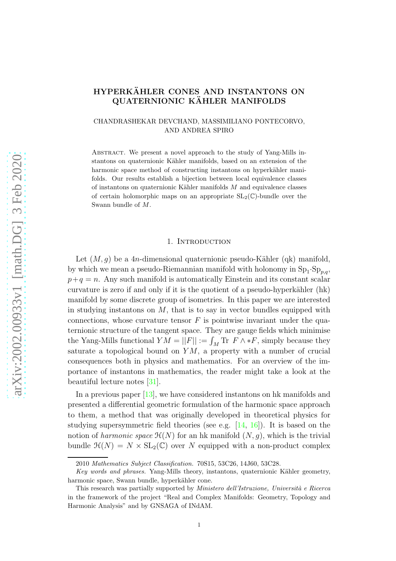# HYPERKÄHLER CONES AND INSTANTONS ON QUATERNIONIC KÄHLER MANIFOLDS

# CHANDRASHEKAR DEVCHAND, MASSIMILIANO PONTECORVO, AND ANDREA SPIRO

Abstract. We present a novel approach to the study of Yang-Mills instantons on quaternionic Kähler manifolds, based on an extension of the harmonic space method of constructing instantons on hyperkähler manifolds. Our results establish a bijection between local equivalence classes of instantons on quaternionic Kähler manifolds  $M$  and equivalence classes of certain holomorphic maps on an appropriate  $SL_2(\mathbb{C})$ -bundle over the Swann bundle of M.

# 1. INTRODUCTION

Let  $(M, q)$  be a 4n-dimensional quaternionic pseudo-Kähler (qk) manifold, by which we mean a pseudo-Riemannian manifold with holonomy in  $\text{Sp}_1 \cdot \text{Sp}_{p,q}$ ,  $p+q = n$ . Any such manifold is automatically Einstein and its constant scalar curvature is zero if and only if it is the quotient of a pseudo-hyperkähler  $(hk)$ manifold by some discrete group of isometries. In this paper we are interested in studying instantons on  $M$ , that is to say in vector bundles equipped with connections, whose curvature tensor  $F$  is pointwise invariant under the quaternionic structure of the tangent space. They are gauge fields which minimise the Yang-Mills functional  $YM = ||F|| := \int_M \text{Tr } F \wedge *F$ , simply because they saturate a topological bound on  $YM$ , a property with a number of crucial consequences both in physics and mathematics. For an overview of the importance of instantons in mathematics, the reader might take a look at the beautiful lecture notes [\[31\]](#page-34-0).

In a previous paper [\[13\]](#page-33-0), we have considered instantons on hk manifolds and presented a differential geometric formulation of the harmonic space approach to them, a method that was originally developed in theoretical physics for studying supersymmetric field theories (see e.g. [\[14,](#page-33-1) [16\]](#page-33-2)). It is based on the notion of harmonic space  $\mathcal{H}(N)$  for an hk manifold  $(N, g)$ , which is the trivial bundle  $\mathcal{H}(N) = N \times SL_2(\mathbb{C})$  over N equipped with a non-product complex

<sup>2010</sup> Mathematics Subject Classification. 70S15, 53C26, 14J60, 53C28.

Key words and phrases. Yang-Mills theory, instantons, quaternionic Kähler geometry, harmonic space, Swann bundle, hyperkähler cone.

This research was partially supported by *Ministero dell'Istruzione*, *Università e Ricerca* in the framework of the project "Real and Complex Manifolds: Geometry, Topology and Harmonic Analysis" and by GNSAGA of INdAM.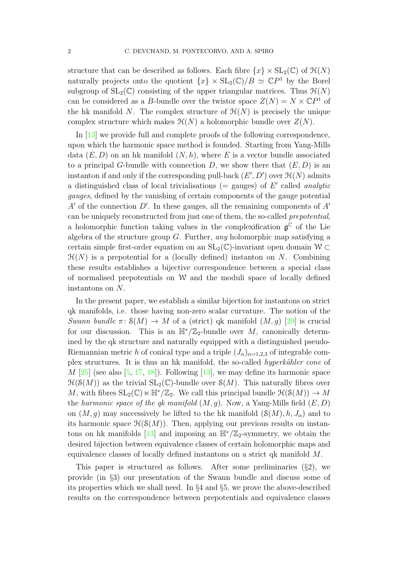structure that can be described as follows. Each fibre  $\{x\} \times SL_2(\mathbb{C})$  of  $\mathcal{H}(N)$ naturally projects onto the quotient  $\{x\} \times SL_2(\mathbb{C})/B \simeq \mathbb{C}P^1$  by the Borel subgroup of  $SL_2(\mathbb{C})$  consisting of the upper triangular matrices. Thus  $\mathcal{H}(N)$ can be considered as a B-bundle over the twistor space  $Z(N) = N \times \mathbb{C}P^1$  of the hk manifold N. The complex structure of  $\mathcal{H}(N)$  is precisely the unique complex structure which makes  $\mathcal{H}(N)$  a holomorphic bundle over  $Z(N)$ .

In [\[13\]](#page-33-0) we provide full and complete proofs of the following correspondence, upon which the harmonic space method is founded. Starting from Yang-Mills data  $(E, D)$  on an hk manifold  $(N, h)$ , where E is a vector bundle associated to a principal G-bundle with connection D, we show there that  $(E, D)$  is an instanton if and only if the corresponding pull-back  $(E', D')$  over  $\mathcal{H}(N)$  admits a distinguished class of local trivialisations (= gauges) of  $E'$  called *analytic* gauges, defined by the vanishing of certain components of the gauge potential  $A'$  of the connection  $D'$ . In these gauges, all the remaining components of  $A'$ can be uniquely reconstructed from just one of them, the so-called prepotential, a holomorphic function taking values in the complexification  $\mathfrak{g}^{\mathbb{C}}$  of the Lie algebra of the structure group  $G$ . Further, any holomorphic map satisfying a certain simple first-order equation on an  $SL_2(\mathbb{C})$ -invariant open domain  $\mathcal{W} \subset$  $\mathcal{H}(N)$  is a prepotential for a (locally defined) instanton on N. Combining these results establishes a bijective correspondence between a special class of normalised prepotentials on  $W$  and the moduli space of locally defined instantons on N.

In the present paper, we establish a similar bijection for instantons on strict qk manifolds, i.e. those having non-zero scalar curvature. The notion of the Swann bundle  $\pi: S(M) \to M$  of a (strict) qk manifold  $(M, g)$  [\[29\]](#page-34-1) is crucial for our discussion. This is an  $\mathbb{H}^*/\mathbb{Z}_2$ -bundle over M, canonically determined by the qk structure and naturally equipped with a distinguished pseudo-Riemannian metric h of conical type and a triple  $(J_\alpha)_{\alpha=1,2,3}$  of integrable complex structures. It is thus an hk manifold, the so-called *hyperkähler cone* of  $M$  [\[25\]](#page-34-2) (see also [\[5,](#page-33-3) [17,](#page-34-3) [18\]](#page-34-4)). Following [\[13\]](#page-33-0), we may define its harmonic space  $\mathfrak{H}(\mathcal{S}(M))$  as the trivial  $\text{SL}_2(\mathbb{C})$ -bundle over  $\mathcal{S}(M)$ . This naturally fibres over M, with fibres  $SL_2(\mathbb{C}) \ltimes \mathbb{H}^*/\mathbb{Z}_2$ . We call this principal bundle  $\mathfrak{H}(\mathcal{S}(M)) \to M$ the harmonic space of the qk manifold  $(M, g)$ . Now, a Yang-Mills field  $(E, D)$ on  $(M, g)$  may successively be lifted to the hk manifold  $(S(M), h, J_\alpha)$  and to its harmonic space  $\mathcal{H}(\mathcal{S}(M))$ . Then, applying our previous results on instan-tons on hk manifolds [\[13\]](#page-33-0) and imposing an  $\mathbb{H}^*/\mathbb{Z}_2$ -symmetry, we obtain the desired bijection between equivalence classes of certain holomorphic maps and equivalence classes of locally defined instantons on a strict qk manifold M.

This paper is structured as follows. After some preliminaries  $(\S2)$ , we provide (in §3) our presentation of the Swann bundle and discuss some of its properties which we shall need. In §4 and §5, we prove the above-described results on the correspondence between prepotentials and equivalence classes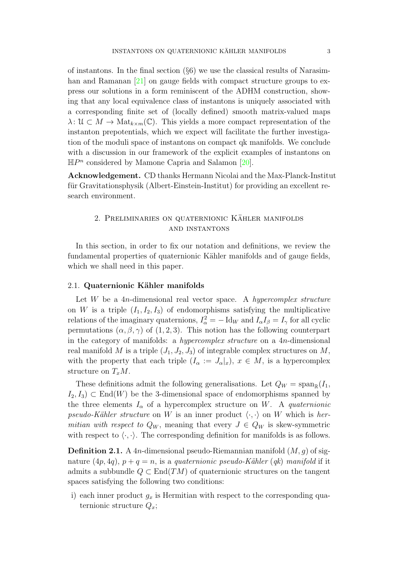of instantons. In the final section  $(\S6)$  we use the classical results of Narasim-han and Ramanan [\[21\]](#page-34-5) on gauge fields with compact structure groups to express our solutions in a form reminiscent of the ADHM construction, showing that any local equivalence class of instantons is uniquely associated with a corresponding finite set of (locally defined) smooth matrix-valued maps  $\lambda: \mathcal{U} \subset M \to \text{Mat}_{k\times m}(\mathbb{C})$ . This yields a more compact representation of the instanton prepotentials, which we expect will facilitate the further investigation of the moduli space of instantons on compact qk manifolds. We conclude with a discussion in our framework of the explicit examples of instantons on  $\mathbb{H}P^n$  considered by Mamone Capria and Salamon [\[20\]](#page-34-6).

Acknowledgement. CD thanks Hermann Nicolai and the Max-Planck-Institut für Gravitationsphysik (Albert-Einstein-Institut) for providing an excellent research environment.

# 2. PRELIMINARIES ON QUATERNIONIC KÄHLER MANIFOLDS and instantons

In this section, in order to fix our notation and definitions, we review the fundamental properties of quaternionic Kähler manifolds and of gauge fields, which we shall need in this paper.

#### <span id="page-2-0"></span>2.1. Quaternionic Kähler manifolds

Let  $W$  be a 4*n*-dimensional real vector space. A *hypercomplex structure* on W is a triple  $(I_1, I_2, I_3)$  of endomorphisms satisfying the multiplicative relations of the imaginary quaternions,  $I_{\alpha}^{2} = - \text{Id}_{W}$  and  $I_{\alpha}I_{\beta} = I_{\gamma}$  for all cyclic permutations  $(\alpha, \beta, \gamma)$  of  $(1, 2, 3)$ . This notion has the following counterpart in the category of manifolds: a hypercomplex structure on a 4n-dimensional real manifold M is a triple  $(J_1, J_2, J_3)$  of integrable complex structures on M, with the property that each triple  $(I_\alpha := J_\alpha|_x)$ ,  $x \in M$ , is a hypercomplex structure on  $T_xM$ .

These definitions admit the following generalisations. Let  $Q_W = \text{span}_{\mathbb{R}}(I_1, \mathbb{R})$  $I_2, I_3) \subset \text{End}(W)$  be the 3-dimensional space of endomorphisms spanned by the three elements  $I_{\alpha}$  of a hypercomplex structure on W. A quaternionic pseudo-Kähler structure on W is an inner product  $\langle \cdot, \cdot \rangle$  on W which is hermitian with respect to  $Q_W$ , meaning that every  $J \in Q_W$  is skew-symmetric with respect to  $\langle \cdot, \cdot \rangle$ . The corresponding definition for manifolds is as follows.

**Definition 2.1.** A 4n-dimensional pseudo-Riemannian manifold  $(M, q)$  of signature  $(4p, 4q)$ ,  $p + q = n$ , is a quaternionic pseudo-Kähler  $(qk)$  manifold if it admits a subbundle  $Q \subset \text{End}(TM)$  of quaternionic structures on the tangent spaces satisfying the following two conditions:

i) each inner product  $g_x$  is Hermitian with respect to the corresponding quaternionic structure  $Q_x$ ;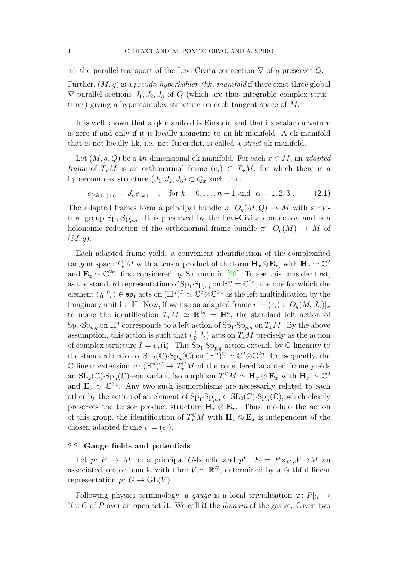ii) the parallel transport of the Levi-Civita connection  $\nabla$  of q preserves Q.

Further,  $(M, q)$  is a *pseudo-hyperkähler (hk) manifold* if there exist three global  $\nabla$ -parallel sections  $J_1, J_2, J_3$  of Q (which are thus integrable complex structures) giving a hypercomplex structure on each tangent space of M.

It is well known that a qk manifold is Einstein and that its scalar curvature is zero if and only if it is locally isometric to an hk manifold. A qk manifold that is not locally hk, i.e. not Ricci flat, is called a strict qk manifold.

Let  $(M, q, Q)$  be a 4n-dimensional qk manifold. For each  $x \in M$ , an *adapted* frame of  $T_xM$  is an orthonormal frame  $(e_i) \subset T_xM$ , for which there is a hypercomplex structure  $(J_1, J_2, J_3) \subset Q_x$  such that

<span id="page-3-0"></span>
$$
e_{(4k+1)+\alpha} = J_{\alpha}e_{4k+1} \quad , \quad \text{for } k = 0, \dots, n-1 \text{ and } \alpha = 1, 2, 3 \tag{2.1}
$$

The adapted frames form a principal bundle  $\pi: O_q(M, Q) \to M$  with structure group  $\text{Sp}_1 \text{-} \text{Sp}_{p,q}$ . It is preserved by the Levi-Civita connection and is a holonomic reduction of the orthonormal frame bundle  $\pi' : O_g(M) \to M$  of  $(M, g).$ 

Each adapted frame yields a convenient identification of the complexified tangent space  $T_x^{\mathbb{C}}M$  with a tensor product of the form  $\mathbf{H}_x \otimes \mathbf{E}_x$ , with  $\mathbf{H}_x \simeq \mathbb{C}^2$ and  $\mathbf{E}_x \simeq \mathbb{C}^{2n}$ , first considered by Salamon in [\[26\]](#page-34-7). To see this consider first, as the standard representation of  $\text{Sp}_1 \cdot \text{Sp}_{p,q}$  on  $\mathbb{H}^n = \mathbb{C}^{2n}$ , the one for which the element  $\left(\begin{smallmatrix} i&0\0&-i\end{smallmatrix}\right)\in \mathfrak{sp}_1$  acts on  $(\mathbb{H}^n)^{\mathbb{C}}\simeq \mathbb{C}^2\widehat{\otimes}\mathbb{C}^{2n}$  as the left multiplication by the imaginary unit  $\mathbf{i} \in \mathbb{H}$ . Now, if we use an adapted frame  $v = (e_i) \in O_q(M, J_\alpha)|_x$ to make the identification  $T_xM \simeq \mathbb{R}^{4n} = \mathbb{H}^n$ , the standard left action of  $\text{Sp}_1 \text{-} \text{Sp}_{p,q}$  on  $\mathbb{H}^n$  corresponds to a left action of  $\text{Sp}_1 \text{-} \text{Sp}_{p,q}$  on  $T_xM$ . By the above assumption, this action is such that  $\left(\begin{smallmatrix} i & 0 \\ 0 & -i \end{smallmatrix}\right)$  acts on  $T_xM$  precisely as the action of complex structure  $I = v_*(i)$ . This  $Sp_1 \cdot Sp_{p,q}$ -action extends by C-linearity to the standard action of  $SL_2(\mathbb{C})$  ·  $Sp_n(\mathbb{C})$  on  $(\mathbb{H}^n)^{\mathbb{C}} \simeq \mathbb{C}^2 \otimes \mathbb{C}^{2n}$ . Consequently, the C-linear extension  $v: (\mathbb{H}^n)^{\mathbb{C}} \to T_x^{\mathbb{C}}M$  of the considered adapted frame yields an  $SL_2(\mathbb{C})\cdot Sp_n(\mathbb{C})$ -equivariant isomorphism  $T_x^{\mathbb{C}}M \simeq \mathbf{H}_x \otimes \mathbf{E}_x$  with  $\mathbf{H}_x \simeq \mathbb{C}^2$ and  $\mathbf{E}_x \simeq \mathbb{C}^{2n}$ . Any two such isomorphisms are necessarily related to each other by the action of an element of  $\text{Sp}_1 \text{-} \text{Sp}_{p,q} \subset \text{SL}_2(\mathbb{C}) \text{-} \text{Sp}_n(\mathbb{C})$ , which clearly preserves the tensor product structure  $H_x \otimes E_x$ . Thus, modulo the action of this group, the identification of  $T_x^{\mathbb{C}}M$  with  $\mathbf{H}_x \otimes \mathbf{E}_x$  is independent of the chosen adapted frame  $v = (e_i)$ .

#### 2.2. Gauge fields and potentials

Let  $p: P \to M$  be a principal G-bundle and  $p^E: E = P \times_{G,\rho} V \to M$  and associated vector bundle with fibre  $V \simeq \mathbb{R}^N$ , determined by a faithful linear representation  $\rho: G \to \text{GL}(V)$ .

Following physics terminology, a gauge is a local trivialisation  $\varphi: P|_{\mathfrak{U}} \to$  $\mathcal{U} \times G$  of P over an open set U. We call U the *domain* of the gauge. Given two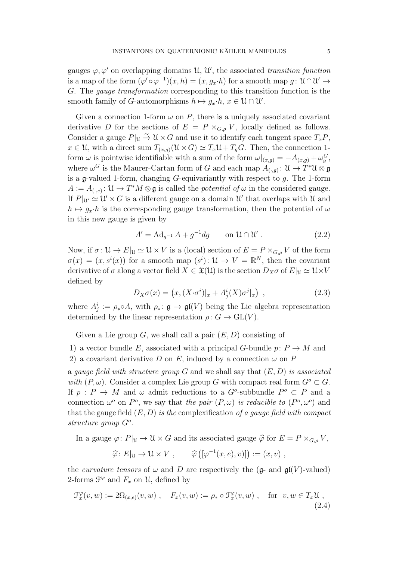gauges  $\varphi, \varphi'$  on overlapping domains U, U', the associated transition function is a map of the form  $(\varphi' \circ \varphi^{-1})(x, h) = (x, g_x \cdot h)$  for a smooth map  $g: \mathcal{U} \cap \mathcal{U}' \to$ G. The gauge transformation corresponding to this transition function is the smooth family of *G*-automorphisms  $h \mapsto g_x \cdot h, x \in \mathcal{U} \cap \mathcal{U}'$ .

Given a connection 1-form  $\omega$  on P, there is a uniquely associated covariant derivative D for the sections of  $E = P \times_{G,\rho} V$ , locally defined as follows. Consider a gauge  $P|_U \stackrel{\sim}{\to} \mathcal{U} \times G$  and use it to identify each tangent space  $T_xP$ ,  $x \in \mathcal{U}$ , with a direct sum  $T_{(x,q)}(\mathcal{U} \times G) \simeq T_x\mathcal{U} + T_gG$ . Then, the connection 1form  $\omega$  is pointwise identifiable with a sum of the form  $\omega|_{(x,g)} = -A_{(x,g)} + \omega_g^G$ , where  $\omega^G$  is the Maurer-Cartan form of G and each map  $A_{(\cdot,g)}: \mathfrak{U} \to T^*\mathfrak{U} \otimes \mathfrak{g}$ is a g-valued 1-form, changing  $G$ -equivariantly with respect to  $q$ . The 1-form  $A := A_{(\cdot,e)}: \mathcal{U} \to T^*M \otimes \mathfrak{g}$  is called the *potential of*  $\omega$  in the considered gauge. If  $P|_{\mathcal{U}} \simeq \mathcal{U} \times G$  is a different gauge on a domain  $\mathcal{U}'$  that overlaps with  $\mathcal{U}$  and  $h \mapsto q_x \cdot h$  is the corresponding gauge transformation, then the potential of  $\omega$ in this new gauge is given by

<span id="page-4-0"></span>
$$
A' = \mathrm{Ad}_{g^{-1}} A + g^{-1} dg \qquad \text{on } \mathcal{U} \cap \mathcal{U}' . \tag{2.2}
$$

Now, if  $\sigma: \mathcal{U} \to E|_{\mathcal{U}} \simeq \mathcal{U} \times V$  is a (local) section of  $E = P \times_{G,\rho} V$  of the form  $\sigma(x) = (x, s^i(x))$  for a smooth map  $(s^i): \mathcal{U} \to V = \mathbb{R}^N$ , then the covariant derivative of  $\sigma$  along a vector field  $X \in \mathfrak{X}(\mathfrak{U})$  is the section  $D_X \sigma$  of  $E|_{\mathfrak{U}} \simeq \mathfrak{U} \times V$ defined by

$$
D_X \sigma(x) = \left( x, (X \cdot \sigma^i)|_x + A^i_j(X) \sigma^j|_x \right) , \qquad (2.3)
$$

where  $A_j^i := \rho_* \circ A$ , with  $\rho_* : \mathfrak{g} \to \mathfrak{gl}(V)$  being the Lie algebra representation determined by the linear representation  $\rho: G \to \text{GL}(V)$ .

Given a Lie group G, we shall call a pair  $(E, D)$  consisting of

- 1) a vector bundle E, associated with a principal G-bundle  $p: P \to M$  and
- 2) a covariant derivative D on E, induced by a connection  $\omega$  on P

a gauge field with structure group G and we shall say that  $(E, D)$  is associated with  $(P, \omega)$ . Consider a complex Lie group G with compact real form  $G^o \subset G$ . If  $p: P \to M$  and  $\omega$  admit reductions to a  $G^o$ -subbundle  $P^o \subset P$  and a connection  $\omega^o$  on  $P^o$ , we say that the pair  $(P, \omega)$  is reducible to  $(P^o, \omega^o)$  and that the gauge field  $(E, D)$  is the complexification of a gauge field with compact structure group  $G^o$ .

In a gauge  $\varphi: P|_{\mathfrak{U}} \to \mathfrak{U} \times G$  and its associated gauge  $\widehat{\varphi}$  for  $E = P \times_{G,\rho} V$ ,

 $\widehat{\varphi} \colon E|_{\mathfrak{U}} \to \mathfrak{U} \times V , \qquad \widehat{\varphi}([\varphi^{-1}(x,e),v)] := (x,v) ,$ 

the *curvature tensors* of  $\omega$  and D are respectively the (g- and  $\mathfrak{gl}(V)$ -valued) 2-forms  $\mathcal{F}^{\varphi}$  and  $F_x$  on  $\mathcal{U}$ , defined by

$$
\mathcal{F}_x^{\varphi}(v, w) := 2\Omega_{(x,e)}(v, w) , \quad F_x(v, w) := \rho_* \circ \mathcal{F}_x^{\varphi}(v, w) , \quad \text{for } v, w \in T_x \mathcal{U} , \tag{2.4}
$$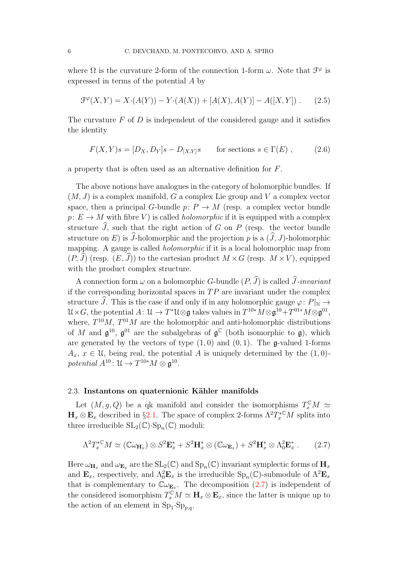where  $\Omega$  is the curvature 2-form of the connection 1-form  $\omega$ . Note that  $\mathcal{F}^{\varphi}$  is expressed in terms of the potential A by

$$
\mathcal{F}^{\varphi}(X,Y) = X \cdot (A(Y)) - Y \cdot (A(X)) + [A(X), A(Y)] - A([X,Y]) . \tag{2.5}
$$

The curvature  $F$  of  $D$  is independent of the considered gauge and it satisfies the identity

$$
F(X,Y)s = [D_X, D_Y]s - D_{[X,Y]}s \quad \text{for sections } s \in \Gamma(E) ,
$$
 (2.6)

a property that is often used as an alternative definition for F.

The above notions have analogues in the category of holomorphic bundles. If  $(M, J)$  is a complex manifold, G a complex Lie group and V a complex vector space, then a principal G-bundle  $p: P \to M$  (resp. a complex vector bundle  $p: E \to M$  with fibre V) is called *holomorphic* if it is equipped with a complex structure  $\hat{J}$ , such that the right action of G on P (resp. the vector bundle structure on E) is  $\widehat{J}$ -holomorphic and the projection p is a  $(\widehat{J}, J)$ -holomorphic mapping. A gauge is called *holomorphic* if it is a local holomorphic map from  $(P, \hat{J})$  (resp.  $(E, \hat{J})$ ) to the cartesian product  $M \times G$  (resp.  $M \times V$ ), equipped with the product complex structure.

A connection form  $\omega$  on a holomorphic G-bundle  $(P, \hat{J})$  is called  $\hat{J}$ -invariant if the corresponding horizontal spaces in  $TP$  are invariant under the complex structure  $\widehat{J}$ . This is the case if and only if in any holomorphic gauge  $\varphi: P|_{\mathfrak{U}} \to$  $\mathcal{U} \times G$ , the potential  $A: \mathcal{U} \to T^*\mathcal{U} \otimes \mathfrak{g}$  takes values in  $T^{10*}M \otimes \mathfrak{g}^{10} + T^{01*}M \otimes \mathfrak{g}^{01}$ , where,  $T^{10}M$ ,  $T^{01}M$  are the holomorphic and anti-holomorphic distributions of M and  $\mathfrak{g}^{10}$ ,  $\mathfrak{g}^{01}$  are the subalgebras of  $\mathfrak{g}^{\mathbb{C}}$  (both isomorphic to  $\mathfrak{g}$ ), which are generated by the vectors of type  $(1, 0)$  and  $(0, 1)$ . The g-valued 1-forms  $A_x, x \in \mathcal{U}$ , being real, the potential A is uniquely determined by the  $(1, 0)$ potential  $A^{10}$ :  $\mathfrak{U} \to T^{10*}M \otimes \mathfrak{g}^{10}$ .

# 2.3. Instantons on quaternionic Kähler manifolds

Let  $(M, g, Q)$  be a qk manifold and consider the isomorphisms  $T_x^{\mathbb{C}}M \simeq$  $\mathbf{H}_x \otimes \mathbf{E}_x$  described in §[2.1.](#page-2-0) The space of complex 2-forms  $\Lambda^2 T_x^* \mathbb{C}M$  splits into three irreducible  $SL_2(\mathbb{C})\cdot Sp_n(\mathbb{C})$  moduli:

<span id="page-5-0"></span>
$$
\Lambda^2 T_x^{*C} M \simeq (\mathbb{C}\omega_{\mathbf{H}_x}) \otimes S^2 \mathbf{E}_x^* + S^2 \mathbf{H}_x^* \otimes (\mathbb{C}\omega_{\mathbf{E}_x}) + S^2 \mathbf{H}_x^* \otimes \Lambda_0^2 \mathbf{E}_x^* \ . \tag{2.7}
$$

Here  $\omega_{H_x}$  and  $\omega_{E_x}$  are the  $SL_2(\mathbb{C})$  and  $Sp_n(\mathbb{C})$  invariant symplectic forms of  $H_x$ and  $\mathbf{E}_x$ , respectively, and  $\Lambda_0^2 \mathbf{E}_x$  is the irreducible  $\text{Sp}_n(\mathbb{C})$ -submodule of  $\Lambda^2 \mathbf{E}_x$ that is complementary to  $\mathbb{C}\omega_{\mathbf{E}_x}$ . The decomposition  $(2.7)$  is independent of the considered isomorphism  $T_x^{\mathbb{C}}M \simeq \mathbf{H}_x \otimes \mathbf{E}_x$ , since the latter is unique up to the action of an element in  $\text{Sp}_1 \text{-} \text{Sp}_{p,q}$ .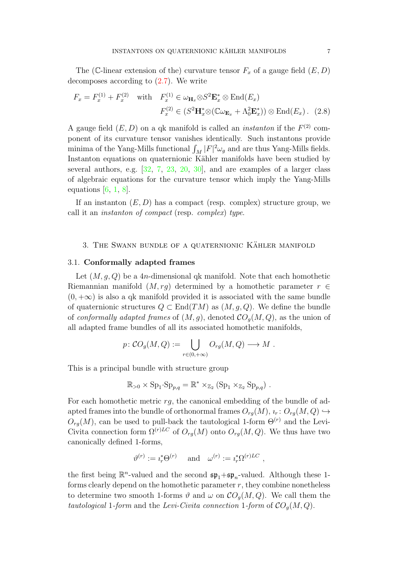The (C-linear extension of the) curvature tensor  $F_x$  of a gauge field  $(E, D)$ decomposes according to [\(2.7\)](#page-5-0). We write

<span id="page-6-0"></span>
$$
F_x = F_x^{(1)} + F_x^{(2)} \quad \text{with} \quad F_x^{(1)} \in \omega_{\mathbf{H}_x} \otimes S^2 \mathbf{E}_x^* \otimes \text{End}(E_x)
$$

$$
F_x^{(2)} \in (S^2 \mathbf{H}_x^* \otimes (\mathbb{C} \omega_{\mathbf{E}_x} + \Lambda_0^2 \mathbf{E}_x^*)) \otimes \text{End}(E_x). \tag{2.8}
$$

A gauge field  $(E, D)$  on a qk manifold is called an *instanton* if the  $F<sup>(2)</sup>$  component of its curvature tensor vanishes identically. Such instantons provide minima of the Yang-Mills functional  $\int_M |F|^2 \omega_g$  and are thus Yang-Mills fields. Instanton equations on quaternionic Kähler manifolds have been studied by several authors, e.g. [\[32,](#page-34-8) [7,](#page-33-4) [23,](#page-34-9) [20,](#page-34-6) [30\]](#page-34-10), and are examples of a larger class of algebraic equations for the curvature tensor which imply the Yang-Mills equations  $[6, 1, 8]$  $[6, 1, 8]$  $[6, 1, 8]$  $[6, 1, 8]$ .

If an instanton  $(E, D)$  has a compact (resp. complex) structure group, we call it an instanton of compact (resp. complex) type.

# <span id="page-6-1"></span>3. THE SWANN BUNDLE OF A QUATERNIONIC KÄHLER MANIFOLD

### 3.1. Conformally adapted frames

Let  $(M, q, Q)$  be a 4n-dimensional qk manifold. Note that each homothetic Riemannian manifold  $(M, rg)$  determined by a homothetic parameter  $r \in$  $(0, +\infty)$  is also a qk manifold provided it is associated with the same bundle of quaternionic structures  $Q \subset \text{End}(TM)$  as  $(M, g, Q)$ . We define the bundle of conformally adapted frames of  $(M, g)$ , denoted  $CO<sub>q</sub>(M, Q)$ , as the union of all adapted frame bundles of all its associated homothetic manifolds,

$$
p: \mathcal{CO}_g(M, Q) := \bigcup_{r \in (0, +\infty)} O_{rg}(M, Q) \longrightarrow M .
$$

This is a principal bundle with structure group

$$
\mathbb{R}_{>0} \times \mathrm{Sp}_1 \cdot \mathrm{Sp}_{p,q} = \mathbb{R}^* \times_{\mathbb{Z}_2} (\mathrm{Sp}_1 \times_{\mathbb{Z}_2} \mathrm{Sp}_{p,q}) .
$$

For each homothetic metric  $rg$ , the canonical embedding of the bundle of adapted frames into the bundle of orthonormal frames  $O_{ra}(M), i_r : O_{ra}(M, Q) \hookrightarrow$  $O_{rq}(M)$ , can be used to pull-back the tautological 1-form  $\Theta^{(r)}$  and the Levi-Civita connection form  $\Omega^{(r)LC}$  of  $O_{rg}(M)$  onto  $O_{rg}(M, Q)$ . We thus have two canonically defined 1-forms,

$$
\vartheta^{(r)} := i_r^* \Theta^{(r)} \quad \text{ and } \quad \omega^{(r)} := i_r^* \Omega^{(r)LC} \ ,
$$

the first being  $\mathbb{R}^n$ -valued and the second  $\mathfrak{sp}_1+\mathfrak{sp}_n$ -valued. Although these 1forms clearly depend on the homothetic parameter  $r$ , they combine nonetheless to determine two smooth 1-forms  $\vartheta$  and  $\omega$  on  $CO_q(M,Q)$ . We call them the tautological 1-form and the Levi-Civita connection 1-form of  $CO<sub>q</sub>(M, Q)$ .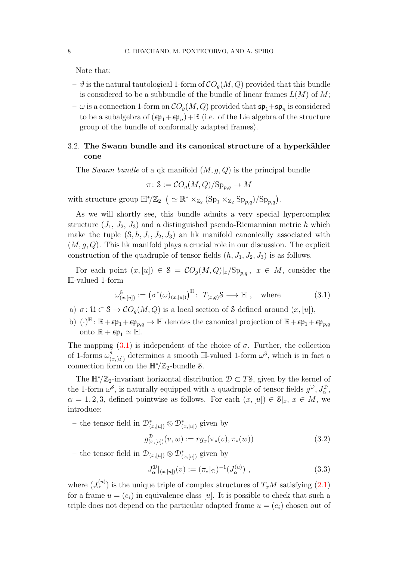Note that:

- $-\vartheta$  is the natural tautological 1-form of  $\mathcal{CO}_q(M, Q)$  provided that this bundle is considered to be a subbundle of the bundle of linear frames  $L(M)$  of M;
- $\omega$  is a connection 1-form on  $\mathcal{CO}_g(M,Q)$  provided that  $\mathfrak{sp}_1+ \mathfrak{sp}_n$  is considered to be a subalgebra of  $(\mathfrak{sp}_1 + \mathfrak{sp}_n) + \mathbb{R}$  (i.e. of the Lie algebra of the structure group of the bundle of conformally adapted frames).

# <span id="page-7-2"></span>3.2. The Swann bundle and its canonical structure of a hyperkähler cone

The Swann bundle of a qk manifold  $(M, g, Q)$  is the principal bundle

$$
\pi \colon \mathcal{S} := \mathcal{C}O_g(M, Q)/\mathrm{Sp}_{p,q} \to M
$$

with structure group  $\mathbb{H}^*/\mathbb{Z}_2$   $\left( \simeq \mathbb{R}^* \times_{\mathbb{Z}_2} (\text{Sp}_1 \times_{\mathbb{Z}_2} \text{Sp}_{p,q})/\text{Sp}_{p,q} \right)$ .

As we will shortly see, this bundle admits a very special hypercomplex structure  $(J_1, J_2, J_3)$  and a distinguished pseudo-Riemannian metric h which make the tuple  $(8, h, J_1, J_2, J_3)$  an hk manifold canonically associated with  $(M, q, Q)$ . This hk manifold plays a crucial role in our discussion. The explicit construction of the quadruple of tensor fields  $(h, J_1, J_2, J_3)$  is as follows.

For each point  $(x,[u]) \in \mathcal{S} = \mathcal{C}O_g(M,Q)|_x/\text{Sp}_{p,q}, x \in M$ , consider the H-valued 1-form

<span id="page-7-0"></span>
$$
\omega_{(x,[u])}^{\mathcal{S}} := \left(\sigma^*(\omega)_{(x,[u])}\right)^{\mathbb{H}} : T_{(x,q)}\mathcal{S} \longrightarrow \mathbb{H} , \text{ where } (3.1)
$$

- a)  $\sigma: \mathcal{U} \subset \mathcal{S} \to \mathcal{CO}_q(M, Q)$  is a local section of S defined around  $(x, [u]),$
- b)  $(\cdot)^{\mathbb{H}}: \mathbb{R} + \mathfrak{sp}_1 + \mathfrak{sp}_{p,q} \to \mathbb{H}$  denotes the canonical projection of  $\mathbb{R} + \mathfrak{sp}_1 + \mathfrak{sp}_{p,q}$ onto  $\mathbb{R} + \mathfrak{sp}_1 \simeq \mathbb{H}$ .

The mapping  $(3.1)$  is independent of the choice of  $\sigma$ . Further, the collection of 1-forms  $\omega_{(x,[u])}^8$  determines a smooth H-valued 1-form  $\omega^8$ , which is in fact a connection form on the  $\mathbb{H}^*/\mathbb{Z}_2$ -bundle S.

The  $\mathbb{H}^*/\mathbb{Z}_2$ -invariant horizontal distribution  $\mathcal{D} \subset T\mathcal{S}$ , given by the kernel of the 1-form  $\omega^s$ , is naturally equipped with a quadruple of tensor fields  $g^{\mathcal{D}}, J_{\alpha}^{\mathcal{D}},$  $\alpha = 1, 2, 3$ , defined pointwise as follows. For each  $(x, [u]) \in \mathcal{S}|_x, x \in M$ , we introduce:

– the tensor field in  $\mathcal{D}^*_{(x,[u])}$  ⊗  $\mathcal{D}^*_{(x,[u])}$  given by

$$
g_{(x,[u])}^{\mathcal{D}}(v,w) := rg_x(\pi_*(v), \pi_*(w))
$$
\n(3.2)

– the tensor field in  $\mathcal{D}_{(x,[u])} \otimes \mathcal{D}_{(x,[u])}^{*}$  given by

<span id="page-7-1"></span>
$$
J_{\alpha}^{\mathcal{D}}|_{(x,[u])}(v) := (\pi_*|_{\mathcal{D}})^{-1}(J_{\alpha}^{(u)}) , \qquad (3.3)
$$

where  $(J_\alpha^{(u)})$  is the unique triple of complex structures of  $T_xM$  satisfying [\(2.1\)](#page-3-0) for a frame  $u = (e_i)$  in equivalence class [u]. It is possible to check that such a triple does not depend on the particular adapted frame  $u = (e_i)$  chosen out of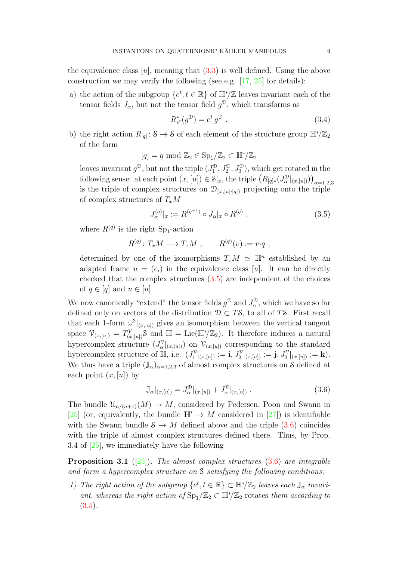the equivalence class  $[u]$ , meaning that  $(3.3)$  is well defined. Using the above construction we may verify the following (see e.g.  $[17, 25]$  $[17, 25]$  for details):

a) the action of the subgroup  $\{e^t, t \in \mathbb{R}\}\$  of  $\mathbb{H}^*/\mathbb{Z}$  leaves invariant each of the tensor fields  $J_{\alpha}$ , but not the tensor field  $g^{\mathcal{D}}$ , which transforms as

$$
R_{e^t}^*(g^{\mathcal{D}}) = e^t g^{\mathcal{D}}.
$$
\n
$$
(3.4)
$$

b) the right action  $R_{[q]}$ : S  $\rightarrow$  S of each element of the structure group  $\mathbb{H}^*/\mathbb{Z}_2$ of the form

$$
[q] = q \mod \mathbb{Z}_2 \in \mathrm{Sp}_1/\mathbb{Z}_2 \subset \mathbb{H}^*/\mathbb{Z}_2
$$

leaves invariant  $g^{\mathcal{D}},$  but not the triple  $(J_1^{\mathcal{D}})$  $(1^{\mathcal{D}}, J_2^{\mathcal{D}}, J_3^{\mathcal{D}})$ , which get rotated in the following sense: at each point  $(x, [u]) \in \mathcal{S}|_x$ , the triple  $(R_{[q]*}(J^{\mathcal{D}}_{\alpha})$  $\binom{D}{\alpha}|_{(x,[u])})\big)_{\alpha=1,2,3}$ is the triple of complex structures on  $\mathcal{D}_{(x,[u]\cdot[q])}$  projecting onto the triple of complex structures of  $T_xM$ 

<span id="page-8-0"></span>
$$
J_{\alpha}^{(q)}|_{x} := R^{(q^{-1})} \circ J_{\alpha}|_{x} \circ R^{(q)} , \qquad (3.5)
$$

where  $R^{(q)}$  is the right Sp<sub>1</sub>-action

$$
R^{(q)}\colon T_xM \longrightarrow T_xM , \qquad R^{(q)}(v) := v \cdot q ,
$$

determined by one of the isomorphisms  $T_xM \simeq \mathbb{H}^n$  established by an adapted frame  $u = (e_i)$  in the equivalence class [u]. It can be directly checked that the complex structures  $(3.5)$  are independent of the choices of  $q \in [q]$  and  $u \in [u]$ .

We now canonically "extend" the tensor fields  $g^{\mathcal{D}}$  and  $J^{\mathcal{D}}_{\alpha}$  $\alpha^2$ , which we have so far defined only on vectors of the distribution  $\mathcal{D} \subset T\mathcal{S}$ , to all of TS. First recall that each 1-form  $\omega^{\mathcal{S}}|_{(x,[u])}$  gives an isomorphism between the vertical tangent space  $\mathcal{V}_{(x,[u])} = T^V_{(x,[u])} \mathcal{S}$  and  $\mathbb{H} = \text{Lie}(\mathbb{H}^*/\mathbb{Z}_2)$ . It therefore induces a natural hypercomplex structure  $(J_{\alpha}^{\gamma})$  $\alpha_{\alpha}^{\nu} |_{(x,[u])}$  on  $\mathcal{V}_{(x,[u])}$  corresponding to the standard hypercomplex structure of  $\mathbb{H}$ , i.e.  $(J_1^{\mathcal{V}})$  $\mathrm{I}^\mathcal{V}|_{(x,[u])}:=\mathbf{i}, J^\mathcal{V}_2|_{(x,[u])}:=\mathbf{j}, J^\mathcal{V}_3|_{(x,[u])}:=\mathbf{k}).$ We thus have a triple  $(\mathbb{J}_{\alpha})_{\alpha=1,2,3}$  of almost complex structures on S defined at each point  $(x,[u])$  by

<span id="page-8-1"></span>
$$
\mathbb{J}_{\alpha}|_{(x,[u])} = J_{\alpha}^{\mathcal{D}}|_{(x,[u])} + J_{\alpha}^{\mathcal{V}}|_{(x,[u])} . \tag{3.6}
$$

The bundle  $\mathfrak{U}_{n/(n+1)}(M) \to M$ , considered by Pedersen, Poon and Swann in [\[25\]](#page-34-2) (or, equivalently, the bundle  $H' \rightarrow M$  considered in [\[27\]](#page-34-11)) is identifiable with the Swann bundle  $S \to M$  defined above and the triple [\(3.6\)](#page-8-1) coincides with the triple of almost complex structures defined there. Thus, by Prop. 3.4 of [\[25\]](#page-34-2), we immediately have the following

**Proposition 3.1** ([\[25\]](#page-34-2)). The almost complex structures  $(3.6)$  are integrable and form a hypercomplex structure on S satisfying the following conditions:

1) The right action of the subgroup  $\{e^t, t \in \mathbb{R}\}\subset \mathbb{H}^*/\mathbb{Z}_2$  leaves each  $\mathbb{J}_{\alpha}$  invariant, whereas the right action of  $\text{Sp}_1/\mathbb{Z}_2 \subset \mathbb{H}^*/\mathbb{Z}_2$  rotates them according to  $(3.5).$  $(3.5).$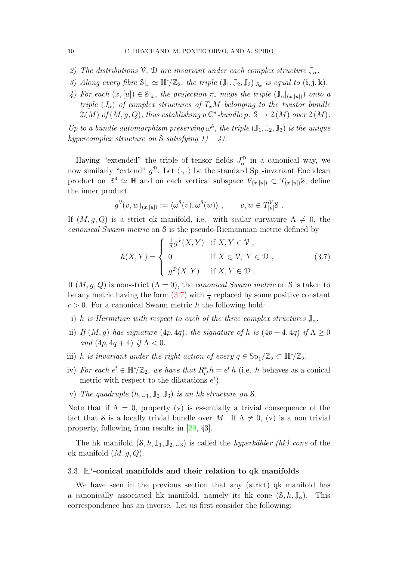- 2) The distributions  $\mathcal{V}, \mathcal{D}$  are invariant under each complex structure  $\mathbb{J}_{\alpha}$ .
- 3) Along every fibre  $S|_{x} \simeq \mathbb{H}^{*}/\mathbb{Z}_{2}$ , the triple  $(\mathbb{J}_{1}, \mathbb{J}_{2}, \mathbb{J}_{3})|_{S_{x}}$  is equal to  $(i, j, k)$ .
- 4) For each  $(x,[u]) \in \mathcal{S}|_x$ , the projection  $\pi_*$  maps the triple  $(\mathbb{J}_{\alpha}|_{(x,[u])})$  onto a triple  $(J_{\alpha})$  of complex structures of  $T_xM$  belonging to the twistor bundle  $\mathcal{Z}(M)$  of  $(M, g, Q)$ , thus establishing a  $\mathbb{C}^*$ -bundle  $p: S \to \mathcal{Z}(M)$  over  $\mathcal{Z}(M)$ .

Up to a bundle automorphism preserving  $\omega^8$ , the triple  $(\mathbb{J}_1, \mathbb{J}_2, \mathbb{J}_3)$  is the unique hypercomplex structure on S satisfying  $1) - 4$ .

Having "extended" the triple of tensor fields  $J_{\alpha}^{\mathcal{D}}$  $\frac{1}{\alpha}$  in a canonical way, we now similarly "extend"  $g^{\mathcal{D}}$ . Let  $\langle \cdot, \cdot \rangle$  be the standard Sp<sub>1</sub>-invariant Euclidean product on  $\mathbb{R}^4 \simeq \mathbb{H}$  and on each vertical subspace  $\mathcal{V}_{(x,[u])} \subset T_{(x,[u])}$ 8, define the inner product

$$
g^{\mathcal{V}}(v,w)_{(x,[u])} := \langle \omega^{\mathcal{S}}(v), \omega^{\mathcal{S}}(w) \rangle , \qquad v, w \in T_{[u]}^V \mathcal{S} .
$$

If  $(M, g, Q)$  is a strict qk manifold, i.e. with scalar curvature  $\Lambda \neq 0$ , the canonical Swann metric on S is the pseudo-Riemannian metric defined by

$$
h(X,Y) = \begin{cases} \frac{1}{\Lambda} g^{\mathcal{V}}(X,Y) & \text{if } X, Y \in \mathcal{V}, \\ 0 & \text{if } X \in \mathcal{V}, Y \in \mathcal{D}, \\ g^{\mathcal{D}}(X,Y) & \text{if } X, Y \in \mathcal{D}. \end{cases}
$$
(3.7)

<span id="page-9-0"></span>If  $(M, q, Q)$  is non-strict  $(\Lambda = 0)$ , the *canonical Swann metric* on S is taken to be any metric having the form  $(3.7)$  with  $\frac{1}{\Lambda}$  replaced by some positive constant  $c > 0$ . For a canonical Swann metric h the following hold:

- i) h is Hermitian with respect to each of the three complex structures  $\mathbb{J}_{\alpha}$ .
- ii) If  $(M, g)$  has signature  $(4p, 4q)$ , the signature of h is  $(4p + 4, 4q)$  if  $\Lambda \geq 0$ and  $(4p, 4q + 4)$  if  $\Lambda < 0$ .
- iii) h is invariant under the right action of every  $q \in \text{Sp}_1/\mathbb{Z}_2 \subset \mathbb{H}^*/\mathbb{Z}_2$ .
- iv) For each  $e^t \in \mathbb{H}^*/\mathbb{Z}_2$ , we have that  $R_{e^t}^*h = e^t h$  (i.e. h behaves as a conical metric with respect to the dilatations  $e^t$ ).
- v) The quadruple  $(h, \mathbb{J}_1, \mathbb{J}_2, \mathbb{J}_3)$  is an hk structure on S.

Note that if  $\Lambda = 0$ , property (v) is essentially a trivial consequence of the fact that S is a locally trivial bundle over M. If  $\Lambda \neq 0$ , (v) is a non trivial property, following from results in [\[29,](#page-34-1) §3].

The hk manifold  $(\mathcal{S}, h, \mathbb{J}_1, \mathbb{J}_2, \mathbb{J}_3)$  is called the *hyperkähler* (hk) cone of the qk manifold  $(M, g, Q)$ .

# 3.3. H<sup>∗</sup> -conical manifolds and their relation to qk manifolds

We have seen in the previous section that any (strict) qk manifold has a canonically associated hk manifold, namely its hk cone  $(\mathcal{S}, h, \mathbb{J}_{\alpha})$ . This correspondence has an inverse. Let us first consider the following: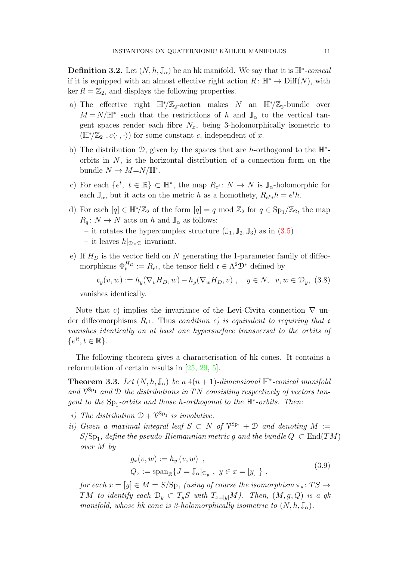**Definition 3.2.** Let  $(N, h, \mathbb{J}_{\alpha})$  be an hk manifold. We say that it is  $\mathbb{H}^*$ -conical if it is equipped with an almost effective right action  $R: \mathbb{H}^* \to \text{Diff}(N)$ , with ker  $R = \mathbb{Z}_2$ , and displays the following properties.

- a) The effective right  $\mathbb{H}^*/\mathbb{Z}_2$ -action makes N an  $\mathbb{H}^*/\mathbb{Z}_2$ -bundle over  $M = N/\mathbb{H}^*$  such that the restrictions of h and  $\mathbb{J}_{\alpha}$  to the vertical tangent spaces render each fibre  $N_x$ , being 3-holomorphically isometric to  $(\mathbb{H}^*/\mathbb{Z}_2, c\langle \cdot, \cdot \rangle)$  for some constant c, independent of x.
- b) The distribution  $\mathcal{D}$ , given by the spaces that are h-orthogonal to the  $\mathbb{H}^*$ orbits in  $N$ , is the horizontal distribution of a connection form on the bundle  $N \to M = N / \mathbb{H}^*$ .
- c) For each  $\{e^t, t \in \mathbb{R}\}\subset \mathbb{H}^*$ , the map  $R_{e^t}: N \to N$  is  $\mathbb{J}_{\alpha}$ -holomorphic for each  $\mathbb{J}_{\alpha}$ , but it acts on the metric h as a homothety,  $R_{e^t * h} = e^t h$ .
- d) For each  $[q] \in \mathbb{H}^*/\mathbb{Z}_2$  of the form  $[q] = q \mod \mathbb{Z}_2$  for  $q \in \text{Sp}_1/\mathbb{Z}_2$ , the map  $R_q: N \to N$  acts on h and  $\mathbb{J}_{\alpha}$  as follows: – it rotates the hypercomplex structure  $(\mathbb{J}_1, \mathbb{J}_2, \mathbb{J}_3)$  as in  $(3.5)$ – it leaves  $h|_{\mathcal{D}\times\mathcal{D}}$  invariant.
- e) If  $H_D$  is the vector field on N generating the 1-parameter family of diffeomorphisms  $\Phi_t^{H_D} := R_{e^t}$ , the tensor field  $\mathfrak{c} \in \Lambda^2 \mathcal{D}^*$  defined by

$$
\mathfrak{c}_y(v, w) := h_y(\nabla_v H_D, w) - h_y(\nabla_w H_D, v) , \quad y \in N, \ v, w \in \mathcal{D}_y, \ (3.8)
$$

vanishes identically.

Note that c) implies the invariance of the Levi-Civita connection  $\nabla$  under diffeomorphisms  $R_{e^t}$ . Thus condition e) is equivalent to requiring that c vanishes identically on at least one hypersurface transversal to the orbits of  $\{e^{it}, t \in \mathbb{R}\}.$ 

The following theorem gives a characterisation of hk cones. It contains a reformulation of certain results in [\[25,](#page-34-2) [29,](#page-34-1) [5\]](#page-33-3).

**Theorem 3.3.** Let  $(N, h, \mathbb{J}_{\alpha})$  be a  $4(n + 1)$ -dimensional  $\mathbb{H}^*$ -conical manifold and  $\mathcal{V}^{\text{Sp}_1}$  and  $\mathcal D$  the distributions in TN consisting respectively of vectors tangent to the  $Sp_1$ -orbits and those h-orthogonal to the  $\mathbb{H}^*$ -orbits. Then:

- i) The distribution  $\mathcal{D} + \mathcal{V}^{\text{Sp}_1}$  is involutive.
- ii) Given a maximal integral leaf  $S \subset N$  of  $\mathcal{V}^{Sp_1} + \mathcal{D}$  and denoting  $M :=$  $S/\mathrm{Sp}_1$ , define the pseudo-Riemannian metric g and the bundle  $Q\,\subset \mathrm{End}(TM)$ over M by

$$
g_x(v, w) := h_y(v, w)
$$
,  
\n $Q_x := \text{span}_{\mathbb{R}} \{ J = \mathbb{J}_{\alpha}|_{\mathcal{D}_y}, y \in x = [y] \}$ , (3.9)

for each  $x=[y]\in M=S/{\rm Sp}_1$  (using of course the isomorphism  $\pi_*\colon TS\to$ TM to identify each  $\mathcal{D}_y \subset T_yS$  with  $T_{x=[y]}M$ ). Then,  $(M, g, Q)$  is a qk manifold, whose hk cone is 3-holomorphically isometric to  $(N, h, \mathbb{J}_{\alpha})$ .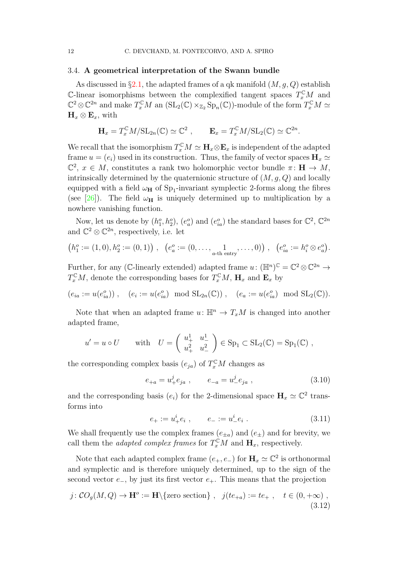# <span id="page-11-1"></span>3.4. A geometrical interpretation of the Swann bundle

As discussed in  $\S 2.1$ , the adapted frames of a qk manifold  $(M, q, Q)$  establish  $\mathbb{C}\text{-linear isomorphisms between the complexified tangent spaces } T_x^{\mathbb{C}}M$  and  $\mathbb{C}^2 \otimes \mathbb{C}^{2n}$  and make  $T_x^{\mathbb{C}}M$  an  $(\text{SL}_2(\mathbb{C}) \times_{\mathbb{Z}_2} \text{Sp}_n(\mathbb{C}))$ -module of the form  $T_x^{\mathbb{C}}M \simeq$  $H_x \otimes E_x$ , with

$$
\mathbf{H}_x = T_x^{\mathbb{C}} M / \mathrm{SL}_{2n}(\mathbb{C}) \simeq \mathbb{C}^2 , \qquad \mathbf{E}_x = T_x^{\mathbb{C}} M / \mathrm{SL}_2(\mathbb{C}) \simeq \mathbb{C}^{2n}.
$$

We recall that the isomorphism  $T_x^{\mathbb{C}}M \simeq \mathbf{H}_x \otimes \mathbf{E}_x$  is independent of the adapted frame  $u = (e_i)$  used in its construction. Thus, the family of vector spaces  $\mathbf{H}_x \simeq$  $\mathbb{C}^2$ ,  $x \in M$ , constitutes a rank two holomorphic vector bundle  $\pi: \mathbf{H} \to M$ , intrinsically determined by the quaternionic structure of  $(M, g, Q)$  and locally equipped with a field  $\omega_H$  of S<sub>P1</sub>-invariant symplectic 2-forms along the fibres (see [\[26\]](#page-34-7)). The field  $\omega_H$  is uniquely determined up to multiplication by a nowhere vanishing function.

Now, let us denote by  $(h_1^o, h_2^o)$ ,  $(e_a^o)$  and  $(e_{ia}^o)$  the standard bases for  $\mathbb{C}^2$ ,  $\mathbb{C}^{2n}$ and  $\mathbb{C}^2 \otimes \mathbb{C}^{2n}$ , respectively, i.e. let

$$
(h_1^o := (1,0), h_2^o := (0,1)), (e_a^o := (0,\ldots,\underset{a\text{-th entry}}{1},\ldots,0)), (e_{ia}^o := h_i^o \otimes e_a^o).
$$

Further, for any (C-linearly extended) adapted frame  $u: (\mathbb{H}^n)^{\mathbb{C}} = \mathbb{C}^2 \otimes \mathbb{C}^{2n} \to$  $T_x^{\mathbb{C}}M$ , denote the corresponding bases for  $T_x^{\mathbb{C}}M$ ,  $\mathbf{H}_x$  and  $\mathbf{E}_x$  by

$$
(e_{ia} := u(e_{ia}^o))
$$
,  $(e_i := u(e_{ia}^o) \mod SL_{2n}(\mathbb{C}))$ ,  $(e_a := u(e_{ia}^o) \mod SL_2(\mathbb{C}))$ .

Note that when an adapted frame  $u: \mathbb{H}^n \to T_xM$  is changed into another adapted frame,

$$
u' = u \circ U
$$
 with  $U = \begin{pmatrix} u_+^1 & u_-^1 \\ u_+^2 & u_-^2 \end{pmatrix} \in \text{Sp}_1 \subset \text{SL}_2(\mathbb{C}) = \text{Sp}_1(\mathbb{C})$ ,

the corresponding complex basis  $(e_{ja})$  of  $T_x^{\mathbb{C}}M$  changes as

$$
e_{+a} = u^j_+ e_{ja} , \t e_{-a} = u^j_- e_{ja} , \t (3.10)
$$

and the corresponding basis  $(e_i)$  for the 2-dimensional space  $H_x \simeq \mathbb{C}^2$  transforms into

$$
e_+ := u_+^i e_i \;, \qquad e_- := u_-^i e_i \; . \tag{3.11}
$$

We shall frequently use the complex frames  $(e_{\pm a})$  and  $(e_{\pm})$  and for brevity, we call them the *adapted complex frames* for  $T_x^{\mathbb{C}}M$  and  $\mathbf{H}_x$ , respectively.

Note that each adapted complex frame  $(e_+, e_-)$  for  $\mathbf{H}_x \simeq \mathbb{C}^2$  is orthonormal and symplectic and is therefore uniquely determined, up to the sign of the second vector  $e_$ , by just its first vector  $e_+$ . This means that the projection

<span id="page-11-0"></span>
$$
j: CO_g(M, Q) \to \mathbf{H}^o := \mathbf{H} \setminus \{ \text{zero section} \} , \quad j(te_{+a}) := te_+ , \quad t \in (0, +\infty) ,
$$
\n(3.12)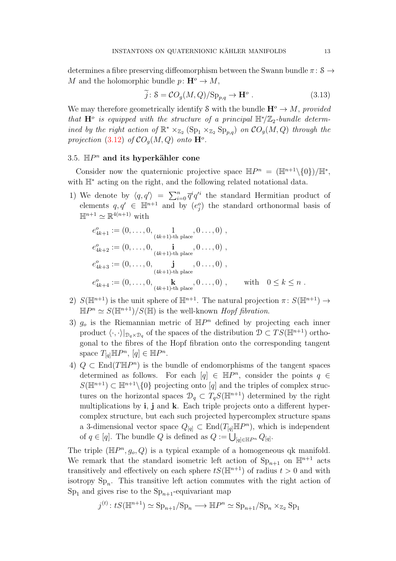determines a fibre preserving diffeomorphism between the Swann bundle  $\pi: \mathcal{S} \rightarrow$ M and the holomorphic bundle  $p: \mathbf{H}^o \to M$ ,

<span id="page-12-1"></span>
$$
\tilde{j}: \mathcal{S} = \mathcal{C}O_g(M, Q)/\mathrm{Sp}_{p,q} \to \mathbf{H}^o. \tag{3.13}
$$

We may therefore geometrically identify S with the bundle  $\mathbf{H}^o \to M$ , provided that  $\mathbf{H}^o$  is equipped with the structure of a principal  $\mathbb{H}^*/\mathbb{Z}_2$ -bundle determined by the right action of  $\mathbb{R}^* \times_{\mathbb{Z}_2} (\mathrm{Sp}_1 \times_{\mathbb{Z}_2} \mathrm{Sp}_{p,q})$  on  $CO_g(M, Q)$  through the projection [\(3.12\)](#page-11-0) of  $CO<sub>g</sub>(M,Q)$  onto  $\mathbf{H}^o$ .

# <span id="page-12-0"></span>3.5.  $\mathbb{H}P^n$  and its hyperkähler cone

Consider now the quaternionic projective space  $\mathbb{H}P^{n} = (\mathbb{H}^{n+1}\setminus\{0\})/\mathbb{H}^{*}$ , with  $\mathbb{H}^*$  acting on the right, and the following related notational data.

1) We denote by  $\langle q, q' \rangle = \sum_{i=0}^n \overline{q}^i q'^i$  the standard Hermitian product of elements  $q, q' \in \mathbb{H}^{n+1}$  and by  $(e_j^o)$  the standard orthonormal basis of  $\mathbb{H}^{n+1} \simeq \mathbb{R}^{4(n+1)}$  with

$$
e_{4k+1}^o := (0, \ldots, 0, \underbrace{1}_{(4k+1)-\text{th place}}, 0 \ldots, 0),
$$
  
\n
$$
e_{4k+2}^o := (0, \ldots, 0, \underbrace{\mathbf{i}}_{(4k+1)-\text{th place}}, 0 \ldots, 0),
$$
  
\n
$$
e_{4k+3}^o := (0, \ldots, 0, \underbrace{\mathbf{j}}_{(4k+1)-\text{th place}}, 0 \ldots, 0),
$$
  
\n
$$
e_{4k+4}^o := (0, \ldots, 0, \underbrace{\mathbf{k}}_{(4k+1)-\text{th place}}, 0 \ldots, 0), \quad \text{with} \quad 0 \le k \le n.
$$

- 2)  $S(\mathbb{H}^{n+1})$  is the unit sphere of  $\mathbb{H}^{n+1}$ . The natural projection  $\pi: S(\mathbb{H}^{n+1}) \to$  $\mathbb{H}P^{n} \simeq S(\mathbb{H}^{n+1})/S(\mathbb{H})$  is the well-known *Hopf fibration*.
- 3)  $g_o$  is the Riemannian metric of  $\mathbb{H}P^n$  defined by projecting each inner product  $\langle \cdot, \cdot \rangle|_{\mathcal{D}_q \times \mathcal{D}_q}$  of the spaces of the distribution  $\mathcal{D} \subset TS(\mathbb{H}^{n+1})$  orthogonal to the fibres of the Hopf fibration onto the corresponding tangent space  $T_{[q]} \mathbb{H}P^n$ ,  $[q] \in \mathbb{H}P^n$ .
- 4)  $Q \subset \text{End}(T \mathbb{H}P^n)$  is the bundle of endomorphisms of the tangent spaces determined as follows. For each  $[q] \in \mathbb{H}P^n$ , consider the points  $q \in$  $S(\mathbb{H}^{n+1}) \subset \mathbb{H}^{n+1} \setminus \{0\}$  projecting onto [q] and the triples of complex structures on the horizontal spaces  $\mathcal{D}_q \subset T_qS(\mathbb{H}^{n+1})$  determined by the right multiplications by i, j and k. Each triple projects onto a different hypercomplex structure, but each such projected hypercomplex structure spans a 3-dimensional vector space  $Q_{[q]} \subset \text{End}(T_{[q]} \mathbb{H}P^n)$ , which is independent of  $q \in [q]$ . The bundle Q is defined as  $Q := \bigcup_{[q] \in \mathbb{H}P^n} Q_{[q]}$ .

The triple  $(\mathbb{H}P^n, g_o, Q)$  is a typical example of a homogeneous qk manifold. We remark that the standard isometric left action of  $\text{Sp}_{n+1}$  on  $\mathbb{H}^{n+1}$  acts transitively and effectively on each sphere  $tS(\mathbb{H}^{n+1})$  of radius  $t > 0$  and with isotropy  $Sp_n$ . This transitive left action commutes with the right action of  $Sp<sub>1</sub>$  and gives rise to the  $Sp<sub>n+1</sub>$ -equivariant map

$$
j^{(t)}: tS(\mathbb{H}^{n+1}) \simeq \mathrm{Sp}_{n+1}/\mathrm{Sp}_n \longrightarrow \mathbb{H}P^n \simeq \mathrm{Sp}_{n+1}/\mathrm{Sp}_n \times_{\mathbb{Z}_2} \mathrm{Sp}_1
$$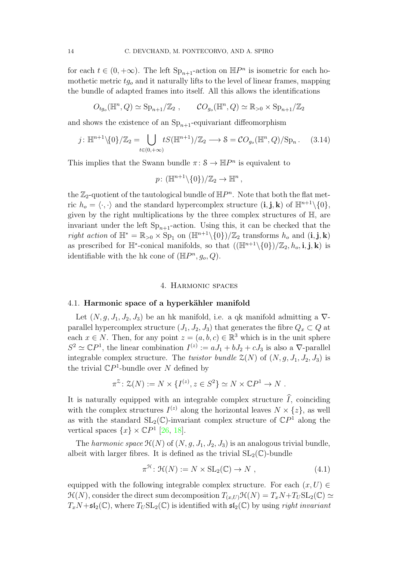for each  $t \in (0, +\infty)$ . The left  $\text{Sp}_{n+1}$ -action on  $\mathbb{H}P^n$  is isometric for each homothetic metric  $tg<sub>o</sub>$  and it naturally lifts to the level of linear frames, mapping the bundle of adapted frames into itself. All this allows the identifications

$$
O_{tg_o}(\mathbb{H}^n, Q) \simeq \mathrm{Sp}_{n+1}/\mathbb{Z}_2 , \qquad CO_{g_o}(\mathbb{H}^n, Q) \simeq \mathbb{R}_{>0} \times \mathrm{Sp}_{n+1}/\mathbb{Z}_2
$$

and shows the existence of an  $Sp_{n+1}$ -equivariant diffeomorphism

$$
j: \mathbb{H}^{n+1}\setminus\{0\}/\mathbb{Z}_2 = \bigcup_{t\in(0,+\infty)} tS(\mathbb{H}^{n+1})/\mathbb{Z}_2 \longrightarrow \mathcal{S} = \mathcal{C}O_{g_o}(\mathbb{H}^n, Q)/\mathrm{Sp}_n. \tag{3.14}
$$

This implies that the Swann bundle  $\pi: S \to \mathbb{H}P^n$  is equivalent to

$$
p\colon (\mathbb{H}^{n+1}\backslash\{0\})/\mathbb{Z}_2\to \mathbb{H}^n ,
$$

the  $\mathbb{Z}_2$ -quotient of the tautological bundle of  $\mathbb{H}P^n$ . Note that both the flat metric  $h_o = \langle \cdot, \cdot \rangle$  and the standard hypercomplex structure  $(i, j, k)$  of  $\mathbb{H}^{n+1} \setminus \{0\},$ given by the right multiplications by the three complex structures of H, are invariant under the left  $Sp_{n+1}$ -action. Using this, it can be checked that the right action of  $\mathbb{H}^* = \mathbb{R}_{>0} \times \text{Sp}_1$  on  $(\mathbb{H}^{n+1}\setminus\{0\})/\mathbb{Z}_2$  transforms  $h_o$  and  $(i, j, k)$ as prescribed for  $\mathbb{H}^*$ -conical manifolds, so that  $((\mathbb{H}^{n+1}\setminus\{0\})/\mathbb{Z}_2, h_o, i, j, k)$  is identifiable with the hk cone of  $(\mathbb{H}P^n, g_o, Q)$ .

#### 4. Harmonic spaces

#### <span id="page-13-1"></span>4.1. Harmonic space of a hyperkähler manifold

Let  $(N, g, J_1, J_2, J_3)$  be an hk manifold, i.e. a qk manifold admitting a  $\nabla$ parallel hypercomplex structure  $(J_1, J_2, J_3)$  that generates the fibre  $Q_x \subset Q$  at each  $x \in N$ . Then, for any point  $z = (a, b, c) \in \mathbb{R}^3$  which is in the unit sphere  $S^2 \simeq \mathbb{C}P^1$ , the linear combination  $I^{(z)} := aJ_1 + bJ_2 + cJ_3$  is also a  $\nabla$ -parallel integrable complex structure. The *twistor bundle*  $\mathcal{Z}(N)$  of  $(N, g, J_1, J_2, J_3)$  is the trivial  $\mathbb{C}P^1$ -bundle over N defined by

$$
\pi^{\mathcal{Z}}\colon \mathcal{Z}(N) := N \times \{I^{(z)}, z \in S^2\} \simeq N \times \mathbb{C}P^1 \to N.
$$

It is naturally equipped with an integrable complex structure  $\hat{I}$ , coinciding with the complex structures  $I^{(z)}$  along the horizontal leaves  $N \times \{z\}$ , as well as with the standard  $SL_2(\mathbb{C})$ -invariant complex structure of  $\mathbb{C}P^1$  along the vertical spaces  $\{x\} \times \mathbb{C}P^1$  [\[26,](#page-34-7) [18\]](#page-34-4).

The harmonic space  $\mathcal{H}(N)$  of  $(N, g, J_1, J_2, J_3)$  is an analogous trivial bundle, albeit with larger fibres. It is defined as the trivial  $SL_2(\mathbb{C})$ -bundle

<span id="page-13-0"></span>
$$
\pi^{\mathcal{H}} \colon \mathcal{H}(N) := N \times SL_2(\mathbb{C}) \to N , \qquad (4.1)
$$

equipped with the following integrable complex structure. For each  $(x, U) \in$  $\mathcal{H}(N)$ , consider the direct sum decomposition  $T_{(x,U)}\mathcal{H}(N) = T_xN+T_USL_2(\mathbb{C}) \simeq$  $T_xN+\mathfrak{sl}_2(\mathbb{C})$ , where  $T_USL_2(\mathbb{C})$  is identified with  $\mathfrak{sl}_2(\mathbb{C})$  by using right invariant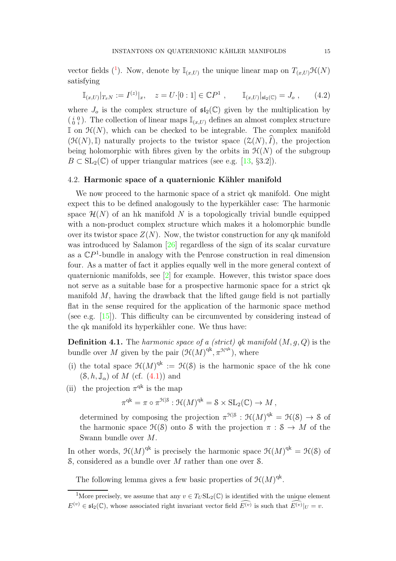vector fields [\(](#page-14-0)<sup>1</sup>). Now, denote by  $\mathbb{I}_{(x,U)}$  the unique linear map on  $T_{(x,U)}\mathcal{H}(N)$ satisfying

<span id="page-14-1"></span>
$$
\mathbb{I}_{(x,U)}|_{T_xN} := I^{(z)}|_x, \quad z = U \cdot [0:1] \in \mathbb{C}P^1 \;, \qquad \mathbb{I}_{(x,U)}|_{\mathfrak{sl}_2(\mathbb{C})} = J_o \;, \qquad (4.2)
$$

where  $J_0$  is the complex structure of  $\mathfrak{sl}_2(\mathbb{C})$  given by the multiplication by  $\left(\begin{smallmatrix} i&0\0&i\end{smallmatrix}\right)$ . The collection of linear maps  $\mathbb{I}_{(x,U)}$  defines an almost complex structure I on  $\mathcal{H}(N)$ , which can be checked to be integrable. The complex manifold  $(\mathcal{H}(N),\mathbb{I})$  naturally projects to the twistor space  $(\mathcal{Z}(N),\hat{I})$ , the projection being holomorphic with fibres given by the orbits in  $\mathcal{H}(N)$  of the subgroup  $B \subset SL_2(\mathbb{C})$  of upper triangular matrices (see e.g. [\[13,](#page-33-0) §3.2]).

### 4.2. Harmonic space of a quaternionic Kähler manifold

We now proceed to the harmonic space of a strict qk manifold. One might expect this to be defined analogously to the hyperkähler case: The harmonic space  $\mathcal{H}(N)$  of an hk manifold N is a topologically trivial bundle equipped with a non-product complex structure which makes it a holomorphic bundle over its twistor space  $Z(N)$ . Now, the twistor construction for any qk manifold was introduced by Salamon [\[26\]](#page-34-7) regardless of the sign of its scalar curvature as a  $\mathbb{C}P<sup>1</sup>$ -bundle in analogy with the Penrose construction in real dimension four. As a matter of fact it applies equally well in the more general context of quaternionic manifolds, see [\[2\]](#page-33-8) for example. However, this twistor space does not serve as a suitable base for a prospective harmonic space for a strict qk manifold M, having the drawback that the lifted gauge field is not partially flat in the sense required for the application of the harmonic space method (see e.g. [\[15\]](#page-33-9)). This difficulty can be circumvented by considering instead of the qk manifold its hyperkähler cone. We thus have:

**Definition 4.1.** The harmonic space of a (strict) qk manifold  $(M, q, Q)$  is the bundle over M given by the pair  $(\mathcal{H}(M)^{qk}, \pi^{\mathcal{H}^{qk}})$ , where

- (i) the total space  $\mathfrak{H}(M)^{qk} := \mathfrak{H}(\mathcal{S})$  is the harmonic space of the hk cone  $(\mathcal{S}, h, \mathbb{J}_{\alpha})$  of M (cf.  $(4.1)$ ) and
- (ii) the projection  $\pi^{qk}$  is the map

$$
\pi^{\mathrm{qk}} = \pi \circ \pi^{\mathcal{H}|\mathcal{S}} : \mathcal{H}(M)^{\mathrm{qk}} = \mathcal{S} \times \mathrm{SL}_2(\mathbb{C}) \to M ,
$$

determined by composing the projection  $\pi^{\mathcal{H}|\mathcal{S}} : \mathcal{H}(M)^{qk} = \mathcal{H}(\mathcal{S}) \to \mathcal{S}$  of the harmonic space  $\mathcal{H}(\mathcal{S})$  onto S with the projection  $\pi : \mathcal{S} \to M$  of the Swann bundle over M.

In other words,  $\mathfrak{H}(M)^\mathrm{qk}$  is precisely the harmonic space  $\mathfrak{H}(M)^\mathrm{qk} = \mathfrak{H}(\mathcal{S})$  of  $\mathcal{S}$ , considered as a bundle over M rather than one over  $\mathcal{S}$ .

The following lemma gives a few basic properties of  $\mathfrak{H}(M)^{\mathrm{qk}}$ .

<span id="page-14-0"></span><sup>&</sup>lt;sup>1</sup>More precisely, we assume that any  $v \in T_U \mathrm{SL}_2(\mathbb{C})$  is identified with the unique element  $E^{(v)} \in \mathfrak{sl}_2(\mathbb{C})$ , whose associated right invariant vector field  $\widehat{E^{(v)}}$  is such that  $\widehat{E^{(v)}}|_{U} = v$ .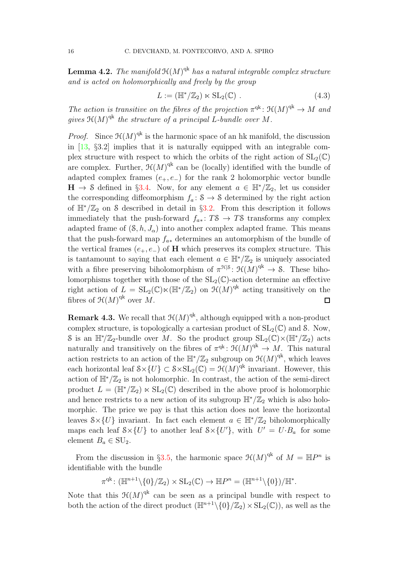**Lemma 4.2.** The manifold  $\mathfrak{H}(M)^{\mathrm{qk}}$  has a natural integrable complex structure and is acted on holomorphically and freely by the group

$$
L := (\mathbb{H}^*/\mathbb{Z}_2) \ltimes \mathrm{SL}_2(\mathbb{C}) \ . \tag{4.3}
$$

The action is transitive on the fibres of the projection  $\pi^{qk} : \mathfrak{H}(M)^{qk} \to M$  and gives  $\mathfrak{K}(M)^{\mathrm{qk}}$  the structure of a principal L-bundle over M.

*Proof.* Since  $\mathcal{H}(M)$ <sup>qk</sup> is the harmonic space of an hk manifold, the discussion in [\[13,](#page-33-0) §3.2] implies that it is naturally equipped with an integrable complex structure with respect to which the orbits of the right action of  $SL_2(\mathbb{C})$ are complex. Further,  $\mathfrak{H}(M)^{\mathrm{qk}}$  can be (locally) identified with the bundle of adapted complex frames  $(e_+, e_-)$  for the rank 2 holomorphic vector bundle  $H \to S$  defined in §[3.4.](#page-11-1) Now, for any element  $a \in \mathbb{H}^*/\mathbb{Z}_2$ , let us consider the corresponding diffeomorphism  $f_a: S \to S$  determined by the right action of  $\mathbb{H}^*/\mathbb{Z}_2$  on S described in detail in §[3.2.](#page-7-2) From this description it follows immediately that the push-forward  $f_{a*}: T\mathcal{S} \to T\mathcal{S}$  transforms any complex adapted frame of  $(\mathcal{S}, h, J_{\alpha})$  into another complex adapted frame. This means that the push-forward map  $f_{a*}$  determines an automorphism of the bundle of the vertical frames  $(e_+, e_-)$  of H which preserves its complex structure. This is tantamount to saying that each element  $a \in \mathbb{H}^*/\mathbb{Z}_2$  is uniquely associated with a fibre preserving biholomorphism of  $\pi^{\mathcal{H}|\mathcal{S}}\colon \mathcal{H}(M)^{qk} \to \mathcal{S}$ . These biholomorphisms together with those of the  $SL_2(\mathbb{C})$ -action determine an effective right action of  $L = SL_2(\mathbb{C}) \ltimes (\mathbb{H}^*/\mathbb{Z}_2)$  on  $\mathfrak{H}(M)^{qk}$  acting transitively on the fibres of  $\mathfrak{H}(M)^{\mathrm{qk}}$  over M.  $\Box$ 

**Remark 4.3.** We recall that  $\mathcal{H}(M)^{qk}$ , although equipped with a non-product complex structure, is topologically a cartesian product of  $SL_2(\mathbb{C})$  and S. Now, S is an  $\mathbb{H}^*/\mathbb{Z}_2$ -bundle over M. So the product group  $SL_2(\mathbb{C})\times (\mathbb{H}^*/\mathbb{Z}_2)$  acts naturally and transitively on the fibres of  $\pi^{qk}$ :  $\mathcal{H}(M)^{qk} \to M$ . This natural action restricts to an action of the  $\mathbb{H}^*/\mathbb{Z}_2$  subgroup on  $\mathfrak{H}(M)^{\text{qk}}$ , which leaves each horizontal leaf  $S \times \{U\} \subset S \times SL_2(\mathbb{C}) = \mathcal{H}(M)^{qk}$  invariant. However, this action of  $\mathbb{H}^*/\mathbb{Z}_2$  is not holomorphic. In contrast, the action of the semi-direct product  $L = (\mathbb{H}^*/\mathbb{Z}_2) \ltimes SL_2(\mathbb{C})$  described in the above proof is holomorphic and hence restricts to a new action of its subgroup  $\mathbb{H}^*/\mathbb{Z}_2$  which is also holomorphic. The price we pay is that this action does not leave the horizontal leaves  $S \times \{U\}$  invariant. In fact each element  $a \in \mathbb{H}^*/\mathbb{Z}_2$  biholomorphically maps each leaf  $S \times \{U\}$  to another leaf  $S \times \{U'\}$ , with  $U' = U \cdot B_a$  for some element  $B_a \in SU_2$ .

From the discussion in §[3.5,](#page-12-0) the harmonic space  $\mathfrak{H}(M)^{qk}$  of  $M = \mathbb{H}P^n$  is identifiable with the bundle

 $\pi^{qk} \colon (\mathbb{H}^{n+1}\setminus\{0\}/\mathbb{Z}_2) \times SL_2(\mathbb{C}) \to \mathbb{H}P^n = (\mathbb{H}^{n+1}\setminus\{0\})/\mathbb{H}^*.$ 

Note that this  $\mathfrak{H}(M)^\text{qk}$  can be seen as a principal bundle with respect to both the action of the direct product  $(\mathbb{H}^{n+1}\setminus\{0\}/\mathbb{Z}_2)\times SL_2(\mathbb{C})$ , as well as the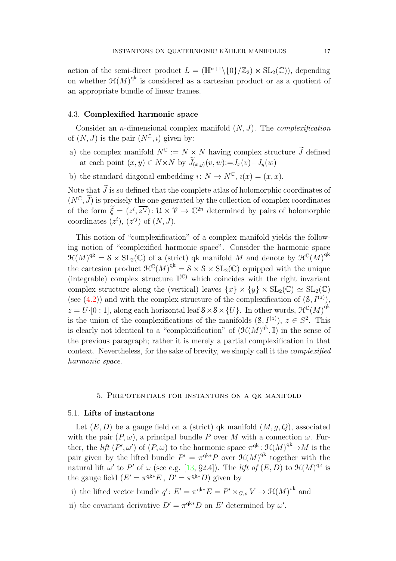action of the semi-direct product  $L = (\mathbb{H}^{n+1} \setminus \{0\}/\mathbb{Z}_2) \ltimes SL_2(\mathbb{C})$ , depending on whether  $\mathfrak{H}(M)^\text{qk}$  is considered as a cartesian product or as a quotient of an appropriate bundle of linear frames.

#### 4.3. Complexified harmonic space

Consider an *n*-dimensional complex manifold  $(N, J)$ . The *complexification* of  $(N, J)$  is the pair  $(N^{\mathbb{C}}, i)$  given by:

- a) the complex manifold  $N^{\mathbb{C}} := N \times N$  having complex structure  $\widetilde{J}$  defined at each point  $(x, y) \in N \times N$  by  $\widetilde{J}_{(x,y)}(v, w) := J_x(v) - J_y(w)$
- b) the standard diagonal embedding  $i: N \to N^{\mathbb{C}}$ ,  $i(x) = (x, x)$ .

Note that  $\tilde{J}$  is so defined that the complete atlas of holomorphic coordinates of  $(N^{\mathbb{C}}, \tilde{J})$  is precisely the one generated by the collection of complex coordinates of the form  $\tilde{\xi} = (z^i, \overline{z'^j})$ :  $\mathcal{U} \times \mathcal{V} \to \mathbb{C}^{2n}$  determined by pairs of holomorphic coordinates  $(z^i)$ ,  $(z'^j)$  of  $(N, J)$ .

This notion of "complexification" of a complex manifold yields the following notion of "complexified harmonic space". Consider the harmonic space  $\mathfrak{H}(M)^{\mathrm{qk}} = \mathcal{S} \times \mathrm{SL}_2(\mathbb{C})$  of a (strict) qk manifold M and denote by  $\mathfrak{H}^{\mathbb{C}}(M)^{\mathrm{qk}}$ the cartesian product  $\mathcal{H}^{\mathbb{C}}(M)^{qk} = 8 \times 8 \times SL_2(\mathbb{C})$  equipped with the unique (integrable) complex structure  $\mathbb{I}^{(\mathbb{C})}$  which coincides with the right invariant complex structure along the (vertical) leaves  $\{x\} \times \{y\} \times SL_2(\mathbb{C}) \simeq SL_2(\mathbb{C})$ (see [\(4.2\)](#page-14-1)) and with the complex structure of the complexification of  $(8, I^{(z)})$ ,  $z = U$ ·[0 : 1], along each horizontal leaf  $S \times S \times \{U\}$ . In other words,  $\mathcal{H}^{\mathbb{C}}(M)^{qk}$ is the union of the complexifications of the manifolds  $(8, I^{(z)})$ ,  $z \in S^2$ . This is clearly not identical to a "complexification" of  $(\mathcal{H}(M)^{qk}, \mathbb{I})$  in the sense of the previous paragraph; rather it is merely a partial complexification in that context. Nevertheless, for the sake of brevity, we simply call it the complexified harmonic space.

#### 5. Prepotentials for instantons on a qk manifold

### 5.1. Lifts of instantons

Let  $(E, D)$  be a gauge field on a (strict) qk manifold  $(M, g, Q)$ , associated with the pair  $(P, \omega)$ , a principal bundle P over M with a connection  $\omega$ . Further, the *lift*  $(P', \omega')$  of  $(P, \omega)$  to the harmonic space  $\pi^{qk}$ :  $\mathcal{H}(M)^{qk} \to M$  is the pair given by the lifted bundle  $P' = \pi^{q^k} P$  over  $\mathfrak{H}(M)^{q^k}$  together with the natural lift  $\omega'$  to P' of  $\omega$  (see e.g. [\[13,](#page-33-0) §2.4]). The *lift of*  $(E, D)$  to  $\mathfrak{H}(M)^{\text{qk}}$  is the gauge field  $(E' = \pi^{qk*}E, D' = \pi^{qk*}D)$  given by

i) the lifted vector bundle  $q' : E' = \pi^{q k *} E = P' \times_{G,\rho} V \to \mathfrak{H}(M)^{q k}$  and

ii) the covariant derivative  $D' = \pi^{qk*}D$  on E' determined by  $\omega'$ .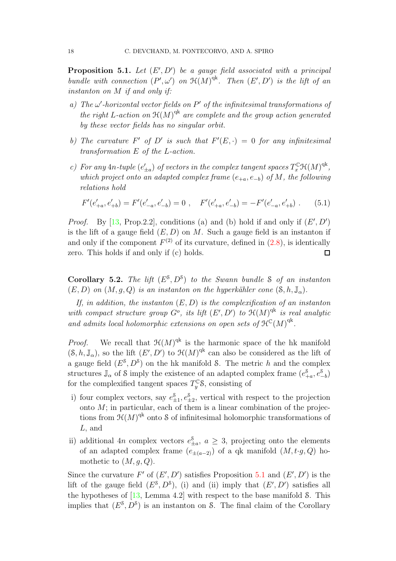<span id="page-17-0"></span>**Proposition 5.1.** Let  $(E', D')$  be a gauge field associated with a principal bundle with connection  $(P', \omega')$  on  $\mathfrak{H}(M)^{qk}$ . Then  $(E', D')$  is the lift of an instanton on M if and only if:

- a) The  $\omega'$ -horizontal vector fields on  $P'$  of the infinitesimal transformations of the right L-action on  $\mathfrak{H}(M)^\text{qk}$  are complete and the group action generated by these vector fields has no singular orbit.
- b) The curvature F' of D' is such that  $F'(E, \cdot) = 0$  for any infinitesimal transformation E of the L-action.
- c) For any  $4n$ -tuple  $(e'_{\pm a})$  of vectors in the complex tangent spaces  $T_x^{\mathbb{C}}\mathcal{H}(M)^{qk}$ , which project onto an adapted complex frame  $(e_{+a}, e_{-b})$  of M, the following relations hold

<span id="page-17-2"></span>
$$
F'(e'_{+a}, e'_{+b}) = F'(e'_{-a}, e'_{-b}) = 0 , \quad F'(e'_{+a}, e'_{-b}) = -F'(e'_{-a}, e'_{+b}) . \tag{5.1}
$$

*Proof.* By  $[13, Prop.2.2]$ , conditions (a) and (b) hold if and only if  $(E', D')$ is the lift of a gauge field  $(E, D)$  on M. Such a gauge field is an instanton if and only if the component  $F^{(2)}$  of its curvature, defined in  $(2.8)$ , is identically zero. This holds if and only if (c) holds.  $\Box$ 

<span id="page-17-1"></span>Corollary 5.2. The lift  $(E^{\mathcal{S}}, D^{\mathcal{S}})$  to the Swann bundle S of an instanton  $(E, D)$  on  $(M, q, Q)$  is an instanton on the hyperkähler cone  $(\mathcal{S}, h, \mathbb{J}_{\alpha})$ .

If, in addition, the instanton  $(E, D)$  is the complexification of an instanton with compact structure group  $G^o$ , its lift  $(E', D')$  to  $\mathfrak{H}(M)^{qk}$  is real analytic and admits local holomorphic extensions on open sets of  $\mathfrak{H}^{\mathbb{C}}(M)^{qk}$ .

*Proof.* We recall that  $\mathfrak{H}(M)^{qk}$  is the harmonic space of the hk manifold  $(S, h, \mathbb{J}_{\alpha})$ , so the lift  $(E', D')$  to  $\mathfrak{H}(M)^{qk}$  can also be considered as the lift of a gauge field  $(E^{\$}, D^{\$})$  on the hk manifold S. The metric h and the complex structures  $\mathbb{J}_{\alpha}$  of S imply the existence of an adapted complex frame  $(e_+^{\delta})$  $_{+a}^{\$}, e_{-b}^{\$})$ for the complexified tangent spaces  $T_y^{\mathbb{C}}$ <sup>8</sup>, consisting of

- i) four complex vectors, say  $e_+^{\$}$  $_{\pm 1}^{\$}$ ,  $e_{\pm 2}^{\$}$ , vertical with respect to the projection onto  $M$ ; in particular, each of them is a linear combination of the projections from  $\mathfrak{H}(M)^\text{qk}$  onto S of infinitesimal holomorphic transformations of L, and
- ii) additional 4n complex vectors  $e_+^s$  $\frac{3}{2}a$ ,  $a \geq 3$ , projecting onto the elements of an adapted complex frame  $(e_{\pm(a-2)})$  of a qk manifold  $(M, t \cdot g, Q)$  homothetic to  $(M, q, Q)$ .

Since the curvature F' of  $(E', D')$  satisfies Proposition [5.1](#page-17-0) and  $(E', D')$  is the lift of the gauge field  $(E^{\mathcal{S}}, D^{\mathcal{S}})$ , (i) and (ii) imply that  $(E', D')$  satisfies all the hypotheses of  $[13, \text{Lemma } 4.2]$  with respect to the base manifold S. This implies that  $(E^{\mathcal{S}}, D^{\mathcal{S}})$  is an instanton on S. The final claim of the Corollary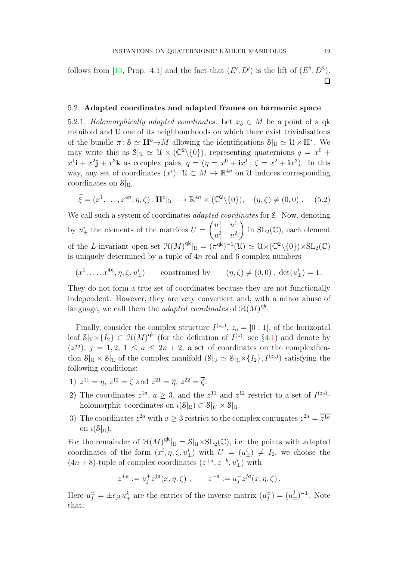follows from [\[13,](#page-33-0) Prop. 4.1] and the fact that  $(E', D')$  is the lift of  $(E^{\mathcal{S}}, D^{\mathcal{S}})$ .  $\Box$ 

# <span id="page-18-0"></span>5.2. Adapted coordinates and adapted frames on harmonic space

5.2.1. Holomorphically adapted coordinates. Let  $x_o \in M$  be a point of a qk manifold and U one of its neighbourhoods on which there exist trivialisations of the bundle  $\pi: \mathcal{S} \simeq \mathbf{H}^o \rightarrow M$  allowing the identifications  $\mathcal{S}|_{\mathcal{U}} \simeq \mathcal{U} \times \mathbb{H}^*$ . We may write this as  $\mathcal{S}|_{\mathfrak{U}} \simeq \mathfrak{U} \times (\mathbb{C}^2 \setminus \{0\})$ , representing quaternions  $q = x^0 +$  $x^1$ **i** +  $x^2$ **j** +  $x^3$ **k** as complex pairs,  $q = (\eta = x^0 + ix^1, \zeta = x^2 + ix^3)$ . In this way, any set of coordinates  $(x^i)$ :  $\mathcal{U} \subset M \to \mathbb{R}^{4n}$  on  $\mathcal{U}$  induces corresponding coordinates on  $S|_U$ ,

$$
\widehat{\xi} = (x^1, \dots, x^{4n}; \eta, \zeta) : \mathbf{H}^o|_{\mathfrak{U}} \longrightarrow \mathbb{R}^{4n} \times (\mathbb{C}^2 \setminus \{0\}), \quad (\eta, \zeta) \neq (0, 0) . \tag{5.2}
$$

We call such a system of coordinates *adapted coordinates* for S. Now, denoting by  $u^i_{\pm}$  the elements of the matrices  $U =$  $\begin{pmatrix} u_+^1 & u_-^1 \end{pmatrix}$  $u_+^2$   $u_-^2$  $\overline{ }$ in  $SL_2(\mathbb{C})$ , each element of the L-invariant open set  $\mathfrak{H}(M)^{qk}|_{\mathfrak{U}} = (\pi^{qk})^{-1}(\mathfrak{U}) \simeq \mathfrak{U} \times (\mathbb{C}^2 \setminus \{0\}) \times SL_2(\mathbb{C})$ is uniquely determined by a tuple of  $4n$  real and 6 complex numbers

 $(x^{1}, \ldots, x^{4n}, \eta, \zeta, u_{1}^{i})$  $\begin{array}{lll} (i_\pm) & \text{constrained by} & (\eta, \zeta) \neq (0, 0), \ \det(u^i_\pm) = 1 \,. \end{array}$ 

They do not form a true set of coordinates because they are not functionally independent. However, they are very convenient and, with a minor abuse of language, we call them the *adapted coordinates* of  $\mathfrak{H}(M)^{\mathrm{qk}}$ .

Finally, consider the complex structure  $I^{(z_0)}$ ,  $z_0 = [0:1]$ , of the horizontal leaf  $\mathcal{S}|_u \times \{I_2\} \subset \mathcal{H}(M)^{qk}$  (for the definition of  $I^{(z)}$ , see §[4.1\)](#page-13-1) and denote by  $(z^{ja})$ ,  $j = 1, 2, 1 \le a \le 2n + 2$ , a set of coordinates on the complexification  $S|_{\mathfrak{U}} \times S|_{\mathfrak{U}}$  of the complex manifold  $(S|_{\mathfrak{U}} \simeq S|_{\mathfrak{U}} \times \{I_2\}, I^{(z_o)})$  satisfying the following conditions:

- 1)  $z^{11} = \eta$ ,  $z^{12} = \zeta$  and  $z^{21} = \overline{\eta}$ ,  $z^{22} = \overline{\zeta}$ .
- 2) The coordinates  $z^{1a}$ ,  $a \geq 3$ , and the  $z^{11}$  and  $z^{12}$  restrict to a set of  $I^{(z_0)}$ . holomorphic coordinates on  $i(\mathcal{S}|_U) \subset \mathcal{S}|_U \times \mathcal{S}|_U$ .
- 3) The coordinates  $z^{2a}$  with  $a \geq 3$  restrict to the complex conjugates  $z^{2a} = \overline{z^{1a}}$ on  $\iota(\mathcal{S}|_{\mathcal{U}})$ .

For the remainder of  $\mathfrak{H}(M)^{qk}|_{\mathfrak{U}} = \mathcal{S}|_{\mathfrak{U}} \times SL_2(\mathbb{C})$ , i.e. the points with adapted coordinates of the form  $(x^i, \eta, \zeta, u^i_{\pm})$  with  $U = (u^i_{\pm}) \neq I_2$ , we choose the  $(4n+8)$ -tuple of complex coordinates  $(z^{+a}, z^{-b}, u^i_{\pm})$  with

$$
z^{+a} := u_j^+ z^{ja}(x, \eta, \zeta) , \qquad z^{-a} := u_j^- z^{ja}(x, \eta, \zeta) .
$$

Here  $u_j^{\pm} = \pm \epsilon_{jk} u_{\mp}^k$  are the entries of the inverse matrix  $(u_j^{\pm})$  $j^{\pm}$ ) =  $(u_{\pm}^{j})^{-1}$ . Note that: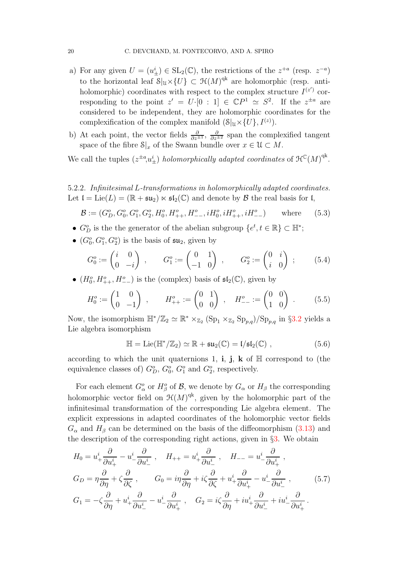- a) For any given  $U = (u^i_{\pm}) \in SL_2(\mathbb{C})$ , the restrictions of the  $z^{+a}$  (resp.  $z^{-a}$ ) to the horizontal leaf  $\mathcal{S}|_{\mathcal{U}} \times \{U\} \subset \mathcal{H}(M)^{qk}$  are holomorphic (resp. antiholomorphic) coordinates with respect to the complex structure  $I^{(z')}$  corresponding to the point  $z' = U \cdot [0 : 1] \in \mathbb{C}P^1 \simeq S^2$ . If the  $z^{\pm a}$  are considered to be independent, they are holomorphic coordinates for the complexification of the complex manifold  $(\mathcal{S}|_{\mathcal{U}} \times \{U\}, I^{(z)})$ .
- b) At each point, the vector fields  $\frac{\partial}{\partial z}$  and the complexified tangent space of the fibre  $\mathcal{S}|_x$  of the Swann bundle over  $x \in \mathcal{U} \subset M$ .

We call the tuples  $(z^{\pm a}u_{\pm}^i)$  holomorphically adapted coordinates of  $\mathcal{H}^{\mathbb{C}}(M)^{qk}$ .

5.2.2. Infinitesimal L-transformations in holomorphically adapted coordinates. Let  $\mathfrak{l} = \text{Lie}(L) = (\mathbb{R} + \mathfrak{su}_2) \ltimes \mathfrak{sl}_2(\mathbb{C})$  and denote by  $\mathcal B$  the real basis for  $\mathfrak{l}$ ,

$$
\mathcal{B} := (G_D^o, G_0^o, G_1^o, G_2^o, H_0^o, H_{++}^o, H_{--}^o, iH_0^o, iH_{++}^o, iH_{--}^o)
$$
 where (5.3)

- $G_D^o$  is the the generator of the abelian subgroup  $\{e^t, t \in \mathbb{R}\}\subset \mathbb{H}^*$ ;
- $(G_0^o, G_1^o, G_2^o)$  is the basis of  $\mathfrak{su}_2$ , given by

$$
G_0^o := \begin{pmatrix} i & 0 \\ 0 & -i \end{pmatrix} , \qquad G_1^o := \begin{pmatrix} 0 & 1 \\ -1 & 0 \end{pmatrix} , \qquad G_2^o := \begin{pmatrix} 0 & i \\ i & 0 \end{pmatrix} ; \qquad (5.4)
$$

•  $(H_0^o, H_{++}^o, H_{--}^o)$  is the (complex) basis of  $\mathfrak{sl}_2(\mathbb{C})$ , given by

$$
H_0^o := \begin{pmatrix} 1 & 0 \\ 0 & -1 \end{pmatrix} , \qquad H_{++}^o := \begin{pmatrix} 0 & 1 \\ 0 & 0 \end{pmatrix} , \quad H_{--}^o := \begin{pmatrix} 0 & 0 \\ 1 & 0 \end{pmatrix} .
$$
 (5.5)

Now, the isomorphism  $\mathbb{H}^*/\mathbb{Z}_2 \simeq \mathbb{R}^* \times_{\mathbb{Z}_2} (\text{Sp}_1 \times_{\mathbb{Z}_2} \text{Sp}_{p,q})/\text{Sp}_{p,q}$  in §[3.2](#page-7-2) yields a Lie algebra isomorphism

<span id="page-19-1"></span>
$$
\mathbb{H} = \mathrm{Lie}(\mathbb{H}^*/\mathbb{Z}_2) \simeq \mathbb{R} + \mathfrak{su}_2(\mathbb{C}) = \mathfrak{l}/\mathfrak{sl}_2(\mathbb{C}) , \qquad (5.6)
$$

according to which the unit quaternions 1, i, j, k of  $\mathbb H$  correspond to (the equivalence classes of)  $G_D^o$ ,  $G_0^o$ ,  $G_1^o$  and  $G_2^o$ , respectively.

For each element  $G^o_\alpha$  or  $H^o_\beta$  of  $\mathcal{B}$ , we denote by  $G_\alpha$  or  $H_\beta$  the corresponding holomorphic vector field on  $\mathfrak{H}(M)^\text{qk}$ , given by the holomorphic part of the infinitesimal transformation of the corresponding Lie algebra element. The explicit expressions in adapted coordinates of the holomorphic vector fields  $G_{\alpha}$  and  $H_{\beta}$  can be determined on the basis of the diffeomorphism [\(3.13\)](#page-12-1) and the description of the corresponding right actions, given in §[3.](#page-6-1) We obtain

<span id="page-19-0"></span>
$$
H_0 = u^i_+ \frac{\partial}{\partial u^i_+} - u^i_- \frac{\partial}{\partial u^i_-} , \quad H_{++} = u^i_+ \frac{\partial}{\partial u^i_-} , \quad H_{--} = u^i_- \frac{\partial}{\partial u^i_+} ,
$$
  
\n
$$
G_D = \eta \frac{\partial}{\partial \eta} + \zeta \frac{\partial}{\partial \zeta} , \qquad G_0 = i\eta \frac{\partial}{\partial \eta} + i\zeta \frac{\partial}{\partial \zeta} + u^i_+ \frac{\partial}{\partial u^i_+} - u^i_- \frac{\partial}{\partial u^i_-} ,
$$
  
\n
$$
G_1 = -\zeta \frac{\partial}{\partial \eta} + u^i_+ \frac{\partial}{\partial u^i_-} - u^i_- \frac{\partial}{\partial u^i_+} , \quad G_2 = i\zeta \frac{\partial}{\partial \eta} + i u^i_+ \frac{\partial}{\partial u^i_-} + i u^i_- \frac{\partial}{\partial u^i_+} .
$$
  
\n(5.7)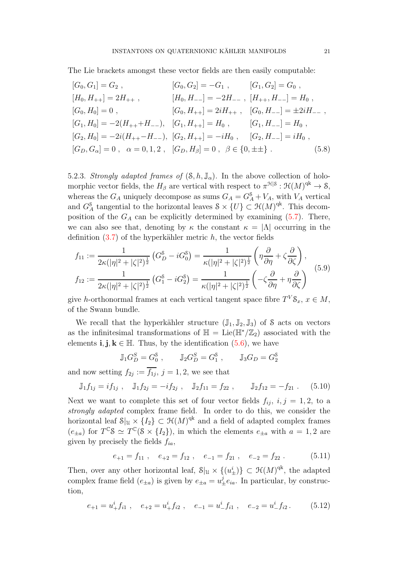The Lie brackets amongst these vector fields are then easily computable:

$$
[G_0, G_1] = G_2 , \t [G_0, G_2] = -G_1 , \t [G_1, G_2] = G_0 ,
$$
  
\n
$$
[H_0, H_{++}] = 2H_{++} , \t [H_0, H_{--}] = -2H_{--} , \t [H_{++}, H_{--}] = H_0 ,
$$
  
\n
$$
[G_0, H_0] = 0 , \t [G_0, H_{++}] = 2iH_{++} , \t [G_0, H_{--}] = \pm 2iH_{--} ,
$$
  
\n
$$
[G_1, H_0] = -2(H_{++} + H_{--}), \t [G_1, H_{++}] = H_0 , \t [G_1, H_{--}] = H_0 ,
$$
  
\n
$$
[G_2, H_0] = -2i(H_{++} - H_{--}), \t [G_2, H_{++}] = -iH_0 , \t [G_2, H_{--}] = iH_0 ,
$$
  
\n
$$
[G_D, G_\alpha] = 0 , \t \alpha = 0, 1, 2 , \t [G_D, H_\beta] = 0 , \t \beta \in \{0, \pm \pm \} .
$$
  
\n(5.8)

5.2.3. Strongly adapted frames of  $(S, h, \mathbb{J}_{\alpha})$ . In the above collection of holomorphic vector fields, the  $H_\beta$  are vertical with respect to  $\pi^{\mathfrak{H}|\mathcal{S}} : \mathfrak{H}(M)^{\mathrm{qk}} \to \mathcal{S}$ , whereas the  $G_A$  uniquely decompose as sums  $G_A = G_A^s + V_A$ , with  $V_A$  vertical and  $G_A^{\mathcal{S}}$  tangential to the horizontal leaves  $\mathcal{S} \times \{U\} \subset \mathcal{H}(M)^{qk}$ . This decomposition of the  $G_A$  can be explicitly determined by examining  $(5.7)$ . There, we can also see that, denoting by  $\kappa$  the constant  $\kappa = |\Lambda|$  occurring in the definition  $(3.7)$  of the hyperkähler metric h, the vector fields

$$
f_{11} := \frac{1}{2\kappa(|\eta|^2 + |\zeta|^2)^{\frac{1}{2}}} \left( G_D^{\delta} - iG_0^{\delta} \right) = \frac{1}{\kappa(|\eta|^2 + |\zeta|^2)^{\frac{1}{2}}} \left( \eta \frac{\partial}{\partial \eta} + \zeta \frac{\partial}{\partial \zeta} \right),
$$
  

$$
f_{12} := \frac{1}{2\kappa(|\eta|^2 + |\zeta|^2)^{\frac{1}{2}}} \left( G_1^{\delta} - iG_2^{\delta} \right) = \frac{1}{\kappa(|\eta|^2 + |\zeta|^2)^{\frac{1}{2}}} \left( -\zeta \frac{\partial}{\partial \eta} + \eta \frac{\partial}{\partial \zeta} \right)
$$
(5.9)

give h-orthonormal frames at each vertical tangent space fibre  $T^V \mathcal{S}_x$ ,  $x \in M$ , of the Swann bundle.

We recall that the hyperkähler structure  $(\mathbb{J}_1, \mathbb{J}_2, \mathbb{J}_3)$  of S acts on vectors as the infinitesimal transformations of  $\mathbb{H} = \text{Lie}(\mathbb{H}^*/\mathbb{Z}_2)$  associated with the elements **i**, **j**,  $k \in \mathbb{H}$ . Thus, by the identification [\(5.6\)](#page-19-1), we have

$$
\mathbb{J}_1 G_D^S = G_0^{\$} , \qquad \mathbb{J}_2 G_D^S = G_1^{\$} , \qquad \mathbb{J}_3 G_D = G_2^{\$}
$$

and now setting  $f_{2j} := f_{1j}, j = 1, 2$ , we see that

$$
\mathbb{J}_1 f_{1j} = i f_{1j} , \quad \mathbb{J}_1 f_{2j} = -i f_{2j} , \quad \mathbb{J}_2 f_{11} = f_{22} , \quad \mathbb{J}_2 f_{12} = -f_{21} . \quad (5.10)
$$

Next we want to complete this set of four vector fields  $f_{ij}$ ,  $i, j = 1, 2$ , to a strongly adapted complex frame field. In order to do this, we consider the horizontal leaf  $\mathcal{S}|_U \times \{I_2\} \subset \mathcal{H}(M)^{qk}$  and a field of adapted complex frames  $(e_{\pm a})$  for  $T^{\mathbb{C}}S \simeq T^{\mathbb{C}}(S \times \{I_2\})$ , in which the elements  $e_{\pm a}$  with  $a = 1, 2$  are given by precisely the fields  $f_{ia}$ ,

$$
e_{+1} = f_{11}
$$
,  $e_{+2} = f_{12}$ ,  $e_{-1} = f_{21}$ ,  $e_{-2} = f_{22}$ . (5.11)

Then, over any other horizontal leaf,  $\mathcal{S}|_{\mathfrak{U}} \times \{(u^i_{\pm})\} \subset \mathcal{H}(M)^{qk}$ , the adapted complex frame field  $(e_{\pm a})$  is given by  $e_{\pm a} = u_{\pm}^{j} e_{ia}$ . In particular, by construction,

$$
e_{+1} = u^i_+ f_{i1} , \quad e_{+2} = u^i_+ f_{i2} , \quad e_{-1} = u^i_- f_{i1} , \quad e_{-2} = u^i_- f_{i2} . \tag{5.12}
$$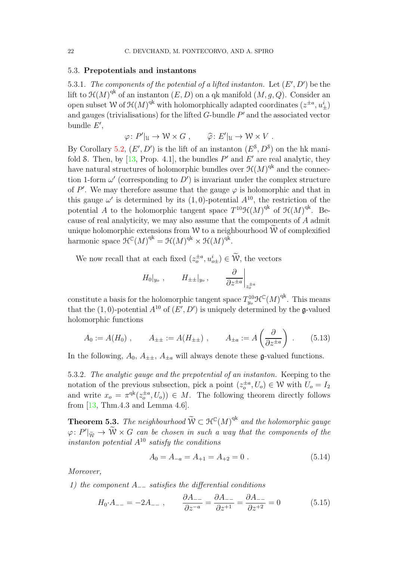## 5.3. Prepotentials and instantons

5.3.1. The components of the potential of a lifted instanton. Let  $(E', D')$  be the lift to  $\mathfrak{H}(M)^{\mathrm{qk}}$  of an instanton  $(E, D)$  on a qk manifold  $(M, g, Q)$ . Consider an open subset W of  $\mathcal{H}(M)^{\mathrm{qk}}$  with holomorphically adapted coordinates  $(z^{\pm a}, u_{\pm}^i)$ and gauges (trivialisations) for the lifted  $G$ -bundle  $P'$  and the associated vector bundle  $E'$ ,

$$
\varphi\colon P'|_{{\mathfrak U}} \to {\mathcal W} \times G\ , \qquad \widehat{\varphi}\colon E'|_{{\mathfrak U}} \to {\mathcal W} \times V\ .
$$

By Corollary [5.2,](#page-17-1)  $(E', D')$  is the lift of an instanton  $(E^{\mathcal{S}}, D^{\mathcal{S}})$  on the hk manifold S. Then, by  $[13, Prop. 4.1]$ , the bundles  $P'$  and  $E'$  are real analytic, they have natural structures of holomorphic bundles over  $\mathfrak{H}(M)^\text{qk}$  and the connection 1-form  $\omega'$  (corresponding to  $D'$ ) is invariant under the complex structure of  $P'$ . We may therefore assume that the gauge  $\varphi$  is holomorphic and that in this gauge  $\omega'$  is determined by its  $(1,0)$ -potential  $A^{10}$ , the restriction of the potential A to the holomorphic tangent space  $T^{10} \mathcal{H}(M)$ <sup>qk</sup> of  $\mathcal{H}(M)$ <sup>qk</sup>. Because of real analyticity, we may also assume that the components of A admit unique holomorphic extensions from W to a neighbourhood  $\hat{W}$  of complexified harmonic space  $\mathfrak{H}^{\mathbb{C}}(M)^{\mathrm{qk}} = \mathfrak{H}(M)^{\mathrm{qk}} \times \mathfrak{H}(M)^{\mathrm{qk}}$ .

We now recall that at each fixed  $(z_o^{\pm a}, u_{o\pm}) \in \widetilde{\mathcal{W}}$ , the vectors

$$
H_0|_{y_o}
$$
,  $H_{\pm\pm}|_{y_o}$ ,  $\frac{\partial}{\partial z^{\pm a}}\Big|_{z_o^{\pm a}}$ 

constitute a basis for the holomorphic tangent space  $T_{y_o}^{10} \mathcal{H}^{\mathbb{C}}(M)^{\text{qk}}$ . This means that the (1,0)-potential  $A^{10}$  of  $(E', D')$  is uniquely determined by the g-valued holomorphic functions

$$
A_0 := A(H_0)
$$
,  $A_{\pm\pm} := A(H_{\pm\pm})$ ,  $A_{\pm a} := A\left(\frac{\partial}{\partial z^{\pm a}}\right)$ . (5.13)

In the following,  $A_0$ ,  $A_{\pm\pm}$ ,  $A_{\pm a}$  will always denote these g-valued functions.

5.3.2. The analytic gauge and the prepotential of an instanton. Keeping to the notation of the previous subsection, pick a point  $(z_o^{\pm a}, U_o) \in \mathcal{W}$  with  $U_o = I_2$ and write  $x_o = \pi^{qk}(z_o^{\pm a}, U_o)$   $\in M$ . The following theorem directly follows from [\[13,](#page-33-0) Thm.4.3 and Lemma 4.6].

<span id="page-21-1"></span>**Theorem 5.3.** The neighbourhood  $\widetilde{W} \subset \mathcal{H}^{\mathbb{C}}(M)^{qk}$  and the holomorphic gauge  $\varphi\colon P'|_{\widetilde{\mathcal{W}}} \to \widetilde{\mathcal{W}} \times G$  can be chosen in such a way that the components of the instanton potential  $A^{10}$  satisfy the conditions

<span id="page-21-0"></span>
$$
A_0 = A_{-a} = A_{+1} = A_{+2} = 0.
$$
 (5.14)

Moreover,

1) the component  $A_{--}$  satisfies the differential conditions

$$
H_0 \tcdot A_{--} = -2A_{--} \ , \qquad \frac{\partial A_{--}}{\partial z^{-a}} = \frac{\partial A_{--}}{\partial z^{+1}} = \frac{\partial A_{--}}{\partial z^{+2}} = 0 \tag{5.15}
$$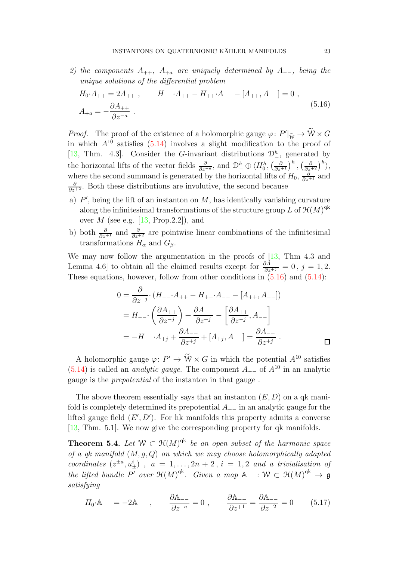2) the components  $A_{++}$ ,  $A_{+a}$  are uniquely determined by  $A_{--}$ , being the unique solutions of the differential problem

<span id="page-22-0"></span>
$$
H_0 \tcdot A_{++} = 2A_{++} , \t H_{--} \tcdot A_{++} - H_{++} \tcdot A_{--} - [A_{++}, A_{--}] = 0 ,
$$
  

$$
A_{+a} = -\frac{\partial A_{++}}{\partial z^{-a}} .
$$
 (5.16)

*Proof.* The proof of the existence of a holomorphic gauge  $\varphi: P'|\tilde{w} \to \tilde{W} \times G$ in which  $A^{10}$  satisfies [\(5.14\)](#page-21-0) involves a slight modification to the proof of [\[13,](#page-33-0) Thm. 4.3]. Consider the G-invariant distributions  $\mathcal{D}_{-}^{h}$ , generated by the horizontal lifts of the vector fields  $\frac{\partial}{\partial z^{-a}}$ , and  $\mathcal{D}_{-}^{h} \oplus \langle H_0^h, \left(\frac{\partial}{\partial z^{+1}}\right)^h, \left(\frac{\partial}{\partial z^{+2}}\right)^h \rangle$ , where the second summand is generated by the horizontal lifts of  $H_0$ ,  $\frac{\partial}{\partial z^{+1}}$  and  $\frac{\partial}{\partial z^{+2}}$ . Both these distributions are involutive, the second because

- a)  $P'$ , being the lift of an instanton on  $M$ , has identically vanishing curvature along the infinitesimal transformations of the structure group L of  $\mathcal{H}(M)^{\mathrm{qk}}$ over  $M$  (see e.g. [\[13,](#page-33-0) Prop.2.2]), and
- b) both  $\frac{\partial}{\partial z^{+1}}$  and  $\frac{\partial}{\partial z^{+2}}$  are pointwise linear combinations of the infinitesimal transformations  $H_{\alpha}$  and  $G_{\beta}$ .

We may now follow the argumentation in the proofs of  $[13, Thm 4.3$  and Lemma 4.6] to obtain all the claimed results except for  $\frac{\partial A_{--}}{\partial z^{+j}} = 0$ ,  $j = 1, 2$ . These equations, however, follow from other conditions in  $(5.16)$  and  $(5.14)$ :

$$
0 = \frac{\partial}{\partial z^{-j}} \cdot (H_{--} \cdot A_{++} - H_{++} \cdot A_{--} - [A_{++}, A_{--}])
$$
  
=  $H_{--} \cdot \left(\frac{\partial A_{++}}{\partial z^{-j}}\right) + \frac{\partial A_{--}}{\partial z^{+j}} - \left[\frac{\partial A_{++}}{\partial z^{-j}}, A_{--}\right]$   
=  $-H_{--} \cdot A_{+j} + \frac{\partial A_{--}}{\partial z^{+j}} + [A_{+j}, A_{--}] = \frac{\partial A_{--}}{\partial z^{+j}}$ .

A holomorphic gauge  $\varphi: P' \to \widetilde{W} \times G$  in which the potential  $A^{10}$  satisfies [\(5.14\)](#page-21-0) is called an *analytic gauge*. The component  $A_{-}$  of  $A^{10}$  in an analytic gauge is the prepotential of the instanton in that gauge .

The above theorem essentially says that an instanton  $(E, D)$  on a qk manifold is completely determined its prepotential  $A_{-}$  in an analytic gauge for the lifted gauge field  $(E', D')$ . For hk manifolds this property admits a converse [\[13,](#page-33-0) Thm. 5.1]. We now give the corresponding property for qk manifolds.

<span id="page-22-2"></span>**Theorem 5.4.** Let  $W \subset \mathcal{H}(M)^{qk}$  be an open subset of the harmonic space of a qk manifold  $(M, g, Q)$  on which we may choose holomorphically adapted coordinates  $(z^{\pm a}, u_{\pm}^i)$ ,  $a = 1, \ldots, 2n + 2$ ,  $i = 1, 2$  and a trivialisation of the lifted bundle P' over  $\mathfrak{H}(M)^{qk}$ . Given a map  $\mathbb{A}_{-}$ :  $\mathcal{W} \subset \mathfrak{H}(M)^{qk} \to \mathfrak{g}$ satisfying

<span id="page-22-1"></span>
$$
H_0 \t A_{--} = -2A_{--} , \qquad \frac{\partial A_{--}}{\partial z^{-a}} = 0 , \qquad \frac{\partial A_{--}}{\partial z^{+1}} = \frac{\partial A_{--}}{\partial z^{+2}} = 0 \qquad (5.17)
$$

 $\Box$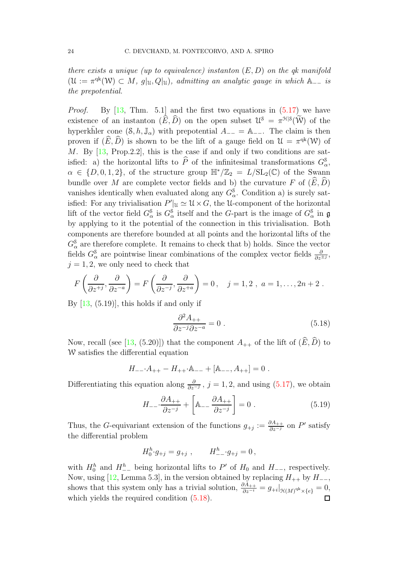there exists a unique (up to equivalence) instanton  $(E, D)$  on the qk manifold  $(\mathcal{U} := \pi^{qk}(\mathcal{W}) \subset M$ ,  $g|_{\mathcal{U}}, Q|_{\mathcal{U}}$ , admitting an analytic gauge in which  $\mathbb{A}_{-}$  is the prepotential.

*Proof.* By  $\begin{bmatrix} 13, \text{ Thm. } 5.1 \end{bmatrix}$  and the first two equations in  $(5.17)$  we have existence of an instanton  $(\widehat{E}, \widehat{D})$  on the open subset  $\mathcal{U}^{\delta} = \pi^{\mathcal{H}|\delta}(\widetilde{W})$  of the hyperkhler cone  $(S, h, \mathbb{J}_{\alpha})$  with prepotential  $A_{-+} = \mathbb{A}_{-+}$ . The claim is then proven if  $(\widehat{E}, \widehat{D})$  is shown to be the lift of a gauge field on  $\mathcal{U} = \pi^{\mathrm{qk}}(\mathcal{W})$  of M. By [\[13,](#page-33-0) Prop.2.2], this is the case if and only if two conditions are satisfied: a) the horizontal lifts to  $\widehat{P}$  of the infinitesimal transformations  $G_{\alpha}^{\S}$ ,  $\alpha \in \{D, 0, 1, 2\},\$  of the structure group  $\mathbb{H}^*/\mathbb{Z}_2 = L/\mathrm{SL}_2(\mathbb{C})$  of the Swann bundle over M are complete vector fields and b) the curvature F of  $(\widehat{E}, \widehat{D})$ vanishes identically when evaluated along any  $G_{\alpha}^{\$}$ . Condition a) is surely satisfied: For any trivialisation  $P' \vert_{\mathfrak{U}} \simeq \mathfrak{U} \times G$ , the U-component of the horizontal lift of the vector field  $G^{\$}_{\alpha}$  is  $G^{\$}_{\alpha}$  itself and the G-part is the image of  $G^{\$}_{\alpha}$  in  $\mathfrak g$ by applying to it the potential of the connection in this trivialisation. Both components are therefore bounded at all points and the horizontal lifts of the  $G^{\$}_{\alpha}$  are therefore complete. It remains to check that b) holds. Since the vector fields  $G^{\$}_{\alpha}$  are pointwise linear combinations of the complex vector fields  $\frac{\partial}{\partial z^{\pm j}}$ ,  $j = 1, 2$ , we only need to check that

$$
F\left(\frac{\partial}{\partial z^{+j}},\frac{\partial}{\partial z^{-a}}\right) = F\left(\frac{\partial}{\partial z^{-j}},\frac{\partial}{\partial z^{+a}}\right) = 0, \quad j = 1, 2, a = 1, \ldots, 2n + 2.
$$

By  $[13, (5.19)]$ , this holds if and only if

<span id="page-23-0"></span>
$$
\frac{\partial^2 A_{++}}{\partial z^{-j} \partial z^{-a}} = 0 \tag{5.18}
$$

Now, recall (see [\[13,](#page-33-0) (5.20)]) that the component  $A_{++}$  of the lift of  $(\widehat{E}, \widehat{D})$  to W satisfies the differential equation

$$
H_{--}{\cdot}A_{++}-H_{++}{\cdot}\mathbb{A}_{--}+[{\mathbb A}_{--},A_{++}]=0\ .
$$

Differentiating this equation along  $\frac{\partial}{\partial z^{-j}}$ ,  $j = 1, 2$ , and using  $(5.17)$ , we obtain

$$
H_{--} \cdot \frac{\partial A_{++}}{\partial z^{-j}} + \left[ A_{--} \frac{\partial A_{++}}{\partial z^{-j}} \right] = 0 \tag{5.19}
$$

Thus, the G-equivariant extension of the functions  $g_{+j} := \frac{\partial A_{++}}{\partial z^{-j}}$  on P' satisfy the differential problem

$$
H_0^h \cdot g_{+j} = g_{+j} \ , \qquad H_{--}^h \cdot g_{+j} = 0 \ ,
$$

with  $H_0^h$  and  $H_{-}^h$  being horizontal lifts to P' of  $H_0$  and  $H_{-}$ , respectively. Now, using [\[12,](#page-33-10) Lemma 5.3], in the version obtained by replacing  $H_{++}$  by  $H_{--}$ , shows that this system only has a trivial solution,  $\frac{\partial A_{++}}{\partial z^{-i}} = g_{+i}|_{\mathcal{H}(M)^{q^k} \times \{e\}} = 0$ , which yields the required condition  $(5.18)$ .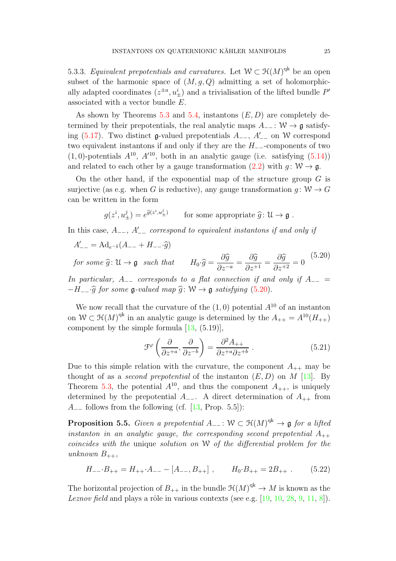5.3.3. Equivalent prepotentials and curvatures. Let  $W \subset \mathcal{H}(M)^{qk}$  be an open subset of the harmonic space of  $(M, g, Q)$  admitting a set of holomorphically adapted coordinates  $(z^{\pm a}, u^i_{\pm})$  and a trivialisation of the lifted bundle  $P'$ associated with a vector bundle E.

As shown by Theorems [5.3](#page-21-1) and [5.4,](#page-22-2) instantons  $(E, D)$  are completely determined by their prepotentials, the real analytic maps  $A_{-}$  :  $W \rightarrow \mathfrak{g}$  satisfy-ing [\(5.17\)](#page-22-1). Two distinct  $\mathfrak{g}\text{-valued prepotentials } A_{--}$ ,  $A'_{--}$  on W correspond two equivalent instantons if and only if they are the H−−-components of two  $(1,0)$ -potentials  $A^{10}$ ,  $A'^{10}$ , both in an analytic gauge (i.e. satisfying  $(5.14)$ ) and related to each other by a gauge transformation [\(2.2\)](#page-4-0) with  $q: W \to \mathfrak{g}$ .

On the other hand, if the exponential map of the structure group  $G$  is surjective (as e.g. when G is reductive), any gauge transformation  $g: W \to G$ can be written in the form

$$
g(z^i, u^j_{\pm}) = e^{\widehat{g}(z^i, u^j_{\pm})}
$$
 for some appropriate  $\widehat{g} \colon \mathcal{U} \to \mathfrak{g}$ .

In this case,  $A_{--}$ ,  $A'_{--}$  correspond to equivalent instantons if and only if

$$
A'_{--} = \text{Ad}_{e^{-\hat{g}}} (A_{--} + H_{--} \cdot \hat{g})
$$

<span id="page-24-0"></span>for some  $\widehat{g} \colon \mathfrak{U} \to \mathfrak{g}$  such that  $\partial \widehat{g}$  $\frac{\partial \widehat{g}}{\partial z^{-a}} = \frac{\partial \widehat{g}}{\partial z^{+}}$  $\frac{\delta g}{\partial z^{+1}} =$  $\partial \widehat{g}$  $\frac{\partial}{\partial z^{+2}} = 0$ (5.20)

In particular,  $A_{-}$  corresponds to a flat connection if and only if  $A_{-}$  =  $-H_{--}\hat{g}$  for some  $\mathfrak{g}\text{-}valued$  map  $\hat{g}$ : W  $\rightarrow \mathfrak{g}$  satisfying [\(5.20\)](#page-24-0).

We now recall that the curvature of the  $(1,0)$  potential  $A^{10}$  of an instanton on  $W \subset \mathfrak{H}(M)^{\text{qk}}$  in an analytic gauge is determined by the  $A_{++} = A^{10}(H_{++})$ component by the simple formula [\[13,](#page-33-0) (5.19)],

$$
\mathcal{F}^{\varphi}\left(\frac{\partial}{\partial z^{+a}}, \frac{\partial}{\partial z^{-b}}\right) = \frac{\partial^2 A_{++}}{\partial z^{+a} \partial z^{+b}} . \tag{5.21}
$$

Due to this simple relation with the curvature, the component  $A_{++}$  may be thought of as a *second prepotential* of the instanton  $(E, D)$  on M [\[13\]](#page-33-0). By Theorem [5.3,](#page-21-1) the potential  $A^{10}$ , and thus the component  $A_{++}$ , is uniquely determined by the prepotential  $A_{-}$ . A direct determination of  $A_{++}$  from  $A_{-}$  follows from the following (cf. [\[13,](#page-33-0) Prop. 5.5]):

**Proposition 5.5.** Given a prepotential  $A_{--}$ :  $W \subset \mathfrak{H}(M)^{qk} \to \mathfrak{g}$  for a lifted instanton in an analytic gauge, the corresponding second prepotential  $A_{++}$ coincides with the unique solution on W of the differential problem for the unknown  $B_{++}$ ,

$$
H_{--} \cdot B_{++} = H_{++} \cdot A_{--} - [A_{--}, B_{++}], \qquad H_0 \cdot B_{++} = 2B_{++} \ . \tag{5.22}
$$

The horizontal projection of  $B_{++}$  in the bundle  $\mathfrak{H}(M)^{\operatorname{qk}} \to M$  is known as the Leznov field and plays a rôle in various contexts (see e.g.  $[19, 10, 28, 9, 11, 8]$  $[19, 10, 28, 9, 11, 8]$  $[19, 10, 28, 9, 11, 8]$  $[19, 10, 28, 9, 11, 8]$  $[19, 10, 28, 9, 11, 8]$  $[19, 10, 28, 9, 11, 8]$  $[19, 10, 28, 9, 11, 8]$  $[19, 10, 28, 9, 11, 8]$  $[19, 10, 28, 9, 11, 8]$  $[19, 10, 28, 9, 11, 8]$ ).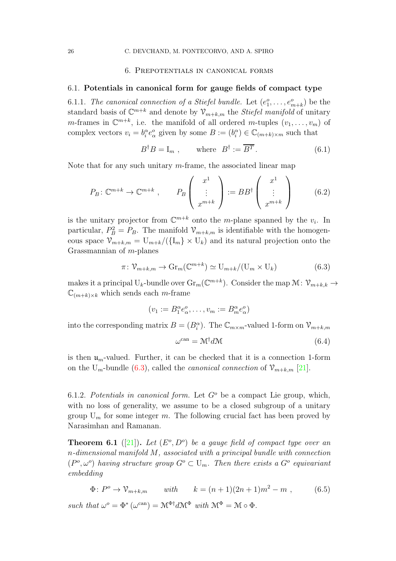## 6. Prepotentials in canonical forms

#### <span id="page-25-2"></span>6.1. Potentials in canonical form for gauge fields of compact type

6.1.1. The canonical connection of a Stiefel bundle. Let  $(e_1^o, \ldots, e_{m+k}^o)$  be the standard basis of  $\mathbb{C}^{m+k}$  and denote by  $\mathcal{V}_{m+k,m}$  the *Stiefel manifold* of unitary *m*-frames in  $\mathbb{C}^{m+k}$ , i.e. the manifold of all ordered *m*-tuples  $(v_1, \ldots, v_m)$  of complex vectors  $v_i = b_i^{\alpha} e_{\alpha}^{\alpha}$  given by some  $B := (b_i^{\alpha}) \in \mathbb{C}_{(m+k)\times m}$  such that

$$
B^{\dagger}B = I_m , \qquad \text{where} \quad B^{\dagger} := \overline{B^T} . \tag{6.1}
$$

Note that for any such unitary *m*-frame, the associated linear map

$$
P_B: \mathbb{C}^{m+k} \to \mathbb{C}^{m+k} , \qquad P_B \left( \begin{array}{c} x^1 \\ \vdots \\ x^{m+k} \end{array} \right) := BB^{\dagger} \left( \begin{array}{c} x^1 \\ \vdots \\ x^{m+k} \end{array} \right) \tag{6.2}
$$

is the unitary projector from  $\mathbb{C}^{m+k}$  onto the m-plane spanned by the  $v_i$ . In particular,  $P_B^2 = P_B$ . The manifold  $\mathcal{V}_{m+k,m}$  is identifiable with the homogeneous space  $\mathcal{V}_{m+k,m} = U_{m+k}/(\{I_m\} \times U_k)$  and its natural projection onto the Grassmannian of m-planes

<span id="page-25-0"></span>
$$
\pi \colon \mathcal{V}_{m+k,m} \to \mathrm{Gr}_m(\mathbb{C}^{m+k}) \simeq \mathrm{U}_{m+k}/(\mathrm{U}_m \times \mathrm{U}_k)
$$
(6.3)

makes it a principal  $U_k$ -bundle over  $\text{Gr}_m(\mathbb{C}^{m+k})$ . Consider the map  $\mathcal{M}$ :  $\mathcal{V}_{m+k,k}$   $\rightarrow$  $\mathbb{C}_{(m+k)\times k}$  which sends each m-frame

$$
(v_1 := B_1^{\alpha} e_{\alpha}^o, \dots, v_m := B_m^{\alpha} e_{\alpha}^o)
$$

into the corresponding matrix  $B = (B_i^{\alpha})$ . The  $\mathbb{C}_{m \times m}$ -valued 1-form on  $\mathcal{V}_{m+k,m}$ 

$$
\omega^{\text{can}} = \mathcal{M}^{\dagger} d\mathcal{M} \tag{6.4}
$$

is then  $\mathfrak{u}_m$ -valued. Further, it can be checked that it is a connection 1-form on the U<sub>m</sub>-bundle [\(6.3\)](#page-25-0), called the *canonical connection* of  $\mathcal{V}_{m+k,m}$  [\[21\]](#page-34-5).

6.1.2. Potentials in canonical form. Let  $G^{\circ}$  be a compact Lie group, which, with no loss of generality, we assume to be a closed subgroup of a unitary group  $U_m$  for some integer m. The following crucial fact has been proved by Narasimhan and Ramanan.

<span id="page-25-1"></span>**Theorem 6.1** ([\[21\]](#page-34-5)). Let  $(E^o, D^o)$  be a gauge field of compact type over an n-dimensional manifold M, associated with a principal bundle with connection  $(P^o, \omega^o)$  having structure group  $G^o \subset U_m$ . Then there exists a  $G^o$  equivariant embedding

$$
\Phi: P^o \to \mathcal{V}_{m+k,m} \qquad with \qquad k = (n+1)(2n+1)m^2 - m \;, \tag{6.5}
$$

such that  $\omega^o = \Phi^* (\omega^{\text{can}}) = \mathcal{M}^{\Phi \dagger} d\mathcal{M}^{\Phi}$  with  $\mathcal{M}^{\Phi} = \mathcal{M} \circ \Phi$ .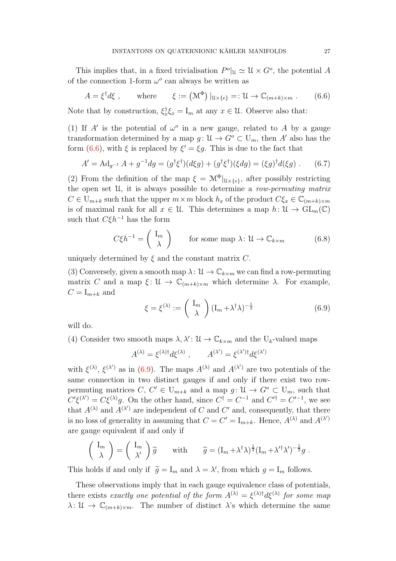This implies that, in a fixed trivialisation  $P^o|_{\mathfrak{U}} \simeq \mathfrak{U} \times G^o$ , the potential A of the connection 1-form  $\omega^o$  can always be written as

<span id="page-26-0"></span>
$$
A = \xi^{\dagger} d\xi , \qquad \text{where} \qquad \xi := (\mathcal{M}^{\Phi}) |_{\mathcal{U} \times \{e\}} =: \mathcal{U} \to \mathbb{C}_{(m+k) \times m} . \tag{6.6}
$$

Note that by construction,  $\xi_x^{\dagger} \xi_x = I_m$  at any  $x \in \mathcal{U}$ . Observe also that:

(1) If A' is the potential of  $\omega^o$  in a new gauge, related to A by a gauge transformation determined by a map  $g: \mathfrak{U} \to G^{\circ} \subset \mathcal{U}_m$ , then A' also has the form [\(6.6\)](#page-26-0), with  $\xi$  is replaced by  $\xi' = \xi g$ . This is due to the fact that

$$
A' = \mathrm{Ad}_{g^{-1}} A + g^{-1} dg = (g^{\dagger} \xi^{\dagger}) (d\xi g) + (g^{\dagger} \xi^{\dagger}) (\xi dg) = (\xi g)^{\dagger} d(\xi g) . \tag{6.7}
$$

(2) From the definition of the map  $\xi = \mathcal{M}^{\Phi}|_{\mathcal{U}\times\{e\}}$ , after possibly restricting the open set  $\mathcal{U}$ , it is always possible to determine a row-permuting matrix  $C \in U_{m+k}$  such that the upper  $m \times m$  block  $h_x$  of the product  $C \xi_x \in \mathbb{C}_{m+k} \times m$ is of maximal rank for all  $x \in \mathcal{U}$ . This determines a map  $h: \mathcal{U} \to GL_m(\mathbb{C})$ such that  $C\xi h^{-1}$  has the form

<span id="page-26-2"></span>
$$
C\xi h^{-1} = \begin{pmatrix} I_m \\ \lambda \end{pmatrix} \qquad \text{for some map } \lambda \colon \mathcal{U} \to \mathbb{C}_{k \times m} \tag{6.8}
$$

uniquely determined by  $\xi$  and the constant matrix C.

(3) Conversely, given a smooth map  $\lambda: \mathcal{U} \to \mathbb{C}_{k \times m}$  we can find a row-permuting matrix C and a map  $\xi: \mathcal{U} \to \mathbb{C}_{(m+k)\times m}$  which determine  $\lambda$ . For example,  $C = I_{m+k}$  and

<span id="page-26-1"></span>
$$
\xi = \xi^{(\lambda)} := \begin{pmatrix} I_m \\ \lambda \end{pmatrix} (I_m + \lambda^{\dagger} \lambda)^{-\frac{1}{2}}
$$
(6.9)

will do.

(4) Consider two smooth maps  $\lambda, \lambda' : \mathcal{U} \to \mathbb{C}_{k \times m}$  and the U<sub>k</sub>-valued maps

$$
A^{(\lambda)} = \xi^{(\lambda)\dagger} d\xi^{(\lambda)}, \qquad A^{(\lambda')} = \xi^{(\lambda')\dagger} d\xi^{(\lambda')}
$$

with  $\xi^{(\lambda)}$ ,  $\xi^{(\lambda')}$  as in [\(6.9\)](#page-26-1). The maps  $A^{(\lambda)}$  and  $A^{(\lambda')}$  are two potentials of the same connection in two distinct gauges if and only if there exist two rowpermuting matrices  $C, C' \in U_{m+k}$  and a map  $g: \mathcal{U} \to G^{\circ} \subset U_m$ , such that  $C'\xi^{(\lambda')} = C\xi^{(\lambda)}g$ . On the other hand, since  $C^{\dagger} = C^{-1}$  and  $C'^{\dagger} = C'^{-1}$ , we see that  $A^{(\lambda)}$  and  $A^{(\lambda')}$  are independent of C and C' and, consequently, that there is no loss of generality in assuming that  $C = C' = I_{m+k}$ . Hence,  $A^{(\lambda)}$  and  $A^{(\lambda')}$ are gauge equivalent if and only if

$$
\begin{pmatrix} I_m \\ \lambda \end{pmatrix} = \begin{pmatrix} I_m \\ \lambda' \end{pmatrix} \widetilde{g} \quad \text{with} \quad \widetilde{g} = (I_m + \lambda^{\dagger} \lambda)^{\frac{1}{2}} (I_m + \lambda'^{\dagger} \lambda')^{-\frac{1}{2}} g.
$$

This holds if and only if  $\tilde{g} = I_m$  and  $\lambda = \lambda'$ , from which  $g = I_m$  follows.

These observations imply that in each gauge equivalence class of potentials, there exists exactly one potential of the form  $A^{(\lambda)} = \xi^{(\lambda) \dagger} d\xi^{(\lambda)}$  for some map  $\lambda: \mathcal{U} \to \mathbb{C}_{(m+k)\times m}$ . The number of distinct  $\lambda$ 's which determine the same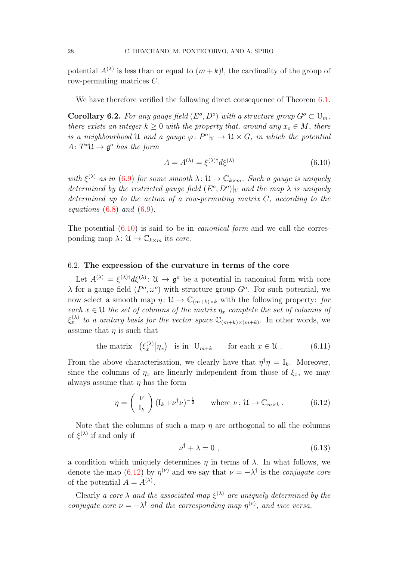potential  $A^{(\lambda)}$  is less than or equal to  $(m+k)!$ , the cardinality of the group of row-permuting matrices C.

We have therefore verified the following direct consequence of Theorem [6.1.](#page-25-1)

<span id="page-27-2"></span>**Corollary 6.2.** For any gauge field  $(E^o, D^o)$  with a structure group  $G^o \subset U_m$ , there exists an integer  $k \geq 0$  with the property that, around any  $x_o \in M$ , there is a neighbourhood U and a gauge  $\varphi: P^o|_{\mathfrak{U}} \to \mathfrak{U} \times G$ , in which the potential  $A\colon T^*\mathfrak{U} \to \mathfrak{g}^o$  has the form

<span id="page-27-0"></span>
$$
A = A^{(\lambda)} = \xi^{(\lambda)\dagger} d\xi^{(\lambda)} \tag{6.10}
$$

with  $\xi^{(\lambda)}$  as in [\(6.9\)](#page-26-1) for some smooth  $\lambda: \mathfrak{U} \to \mathbb{C}_{k \times m}$ . Such a gauge is uniquely determined by the restricted gauge field  $(E^o, D^o)|_{\mathfrak{U}}$  and the map  $\lambda$  is uniquely determined up to the action of a row-permuting matrix  $C$ , according to the equations  $(6.8)$  and  $(6.9)$ .

The potential  $(6.10)$  is said to be in *canonical form* and we call the corresponding map  $\lambda: \mathcal{U} \to \mathbb{C}_{k \times m}$  its core.

# 6.2. The expression of the curvature in terms of the core

Let  $A^{(\lambda)} = \xi^{(\lambda) \dagger} d\xi^{(\lambda)}$ :  $\mathfrak{U} \to \mathfrak{g}^o$  be a potential in canonical form with core  $\lambda$  for a gauge field  $(P^o, \omega^o)$  with structure group  $G^o$ . For such potential, we now select a smooth map  $\eta: \mathcal{U} \to \mathbb{C}_{(m+k)\times k}$  with the following property: for each  $x \in \mathcal{U}$  the set of columns of the matrix  $\eta_x$  complete the set of columns of  $\xi_x^{(\lambda)}$  to a unitary basis for the vector space  $\mathbb{C}_{(m+k)\times(m+k)}$ . In other words, we assume that  $\eta$  is such that

the matrix 
$$
(\xi_x^{(\lambda)} | \eta_x)
$$
 is in  $U_{m+k}$  for each  $x \in \mathcal{U}$ . (6.11)

From the above characterisation, we clearly have that  $\eta^{\dagger} \eta = I_k$ . Moreover, since the columns of  $\eta_x$  are linearly independent from those of  $\xi_x$ , we may always assume that  $\eta$  has the form

<span id="page-27-1"></span>
$$
\eta = \begin{pmatrix} \nu \\ I_k \end{pmatrix} (I_k + \nu^{\dagger} \nu)^{-\frac{1}{2}} \qquad \text{where } \nu \colon \mathcal{U} \to \mathbb{C}_{m \times k} \,. \tag{6.12}
$$

Note that the columns of such a map  $\eta$  are orthogonal to all the columns of  $\xi^{(\lambda)}$  if and only if

$$
\nu^{\dagger} + \lambda = 0 \tag{6.13}
$$

a condition which uniquely determines  $\eta$  in terms of  $\lambda$ . In what follows, we denote the map [\(6.12\)](#page-27-1) by  $\eta^{(\nu)}$  and we say that  $\nu = -\lambda^{\dagger}$  is the *conjugate core* of the potential  $A = A^{(\lambda)}$ .

Clearly a core  $\lambda$  and the associated map  $\xi^{(\lambda)}$  are uniquely determined by the conjugate core  $\nu = -\lambda^{\dagger}$  and the corresponding map  $\eta^{(\nu)}$ , and vice versa.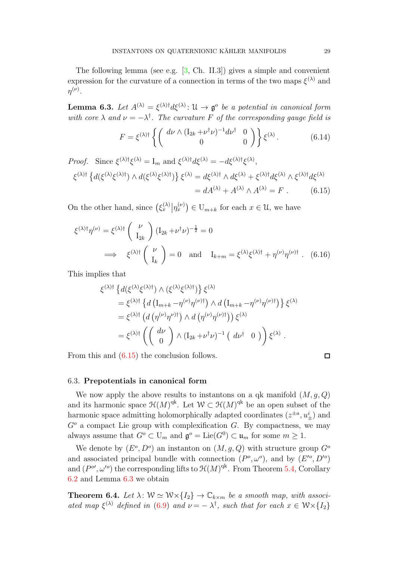The following lemma (see e.g. [\[3,](#page-33-14) Ch. II.3]) gives a simple and convenient expression for the curvature of a connection in terms of the two maps  $\xi^{(\lambda)}$  and  $\eta^{(\nu)}.$ 

<span id="page-28-1"></span>**Lemma 6.3.** Let  $A^{(\lambda)} = \xi^{(\lambda)\dagger} d\xi^{(\lambda)}$ :  $\mathfrak{U} \to \mathfrak{g}^o$  be a potential in canonical form with core  $\lambda$  and  $\nu = -\lambda^{\dagger}$ . The curvature F of the corresponding gauge field is

<span id="page-28-2"></span>
$$
F = \xi^{(\lambda)\dagger} \left\{ \begin{pmatrix} d\nu \wedge (\mathbf{I}_{2k} + \nu^{\dagger} \nu)^{-1} d\nu^{\dagger} & 0 \\ 0 & 0 \end{pmatrix} \right\} \xi^{(\lambda)}.
$$
 (6.14)

Proof. Since  $\xi^{(\lambda)\dagger}\xi^{(\lambda)} = I_m$  and  $\xi^{(\lambda)\dagger}d\xi^{(\lambda)} = -d\xi^{(\lambda)\dagger}\xi^{(\lambda)}$ ,  $\{\zeta^{(\lambda)}\{\,d(\xi^{(\lambda)}\xi^{(\lambda)\dagger})\wedge d(\xi^{(\lambda)}\xi^{(\lambda)\dagger})\}\,\xi^{(\lambda)}=d\xi^{(\lambda)\dagger}\wedge d\xi^{(\lambda)}+\xi^{(\lambda)\dagger}d\xi^{(\lambda)}\wedge\xi^{(\lambda)\dagger}d\xi^{(\lambda)}$  $= dA^{(\lambda)} + A^{(\lambda)} \wedge A^{(\lambda)} = F$  . (6.15)

On the other hand, since  $(\xi_x^{(\lambda)} | \eta_x^{(\nu)}) \in U_{m+k}$  for each  $x \in \mathcal{U}$ , we have

$$
\xi^{(\lambda)\dagger}\eta^{(\nu)} = \xi^{(\lambda)\dagger} \begin{pmatrix} \nu \\ I_{2k} \end{pmatrix} (I_{2k} + \nu^{\dagger}\nu)^{-\frac{1}{2}} = 0
$$
  
\n
$$
\implies \xi^{(\lambda)\dagger} \begin{pmatrix} \nu \\ I_k \end{pmatrix} = 0 \text{ and } I_{k+m} = \xi^{(\lambda)}\xi^{(\lambda)\dagger} + \eta^{(\nu)}\eta^{(\nu)\dagger} . \tag{6.16}
$$

This implies that

$$
\xi^{(\lambda)\dagger} \left\{ d(\xi^{(\lambda)}\xi^{(\lambda)\dagger}) \wedge (\xi^{(\lambda)}\xi^{(\lambda)\dagger}) \right\} \xi^{(\lambda)} \n= \xi^{(\lambda)\dagger} \left\{ d\left( \mathbf{I}_{m+k} - \eta^{(\nu)}\eta^{(\nu)\dagger} \right) \wedge d\left( \mathbf{I}_{m+k} - \eta^{(\nu)}\eta^{(\nu)\dagger} \right) \right\} \xi^{(\lambda)} \n= \xi^{(\lambda)\dagger} \left( d\left( \eta^{(\nu)}\eta^{\nu)\dagger} \right) \wedge d\left( \eta^{(\nu)}\eta^{(\nu)\dagger} \right) \right) \xi^{(\lambda)} \n= \xi^{(\lambda)\dagger} \left( \begin{pmatrix} d\nu \\ 0 \end{pmatrix} \wedge (\mathbf{I}_{2k} + \nu^{\dagger} \nu)^{-1} \left( d\nu^{\dagger} \right) \right) \xi^{(\lambda)} .
$$

From this and [\(6.15\)](#page-28-0) the conclusion follows.

<span id="page-28-0"></span>
$$
\Box
$$

#### 6.3. Prepotentials in canonical form

We now apply the above results to instantons on a qk manifold  $(M, q, Q)$ and its harmonic space  $\mathfrak{H}(M)^\text{qk}$ . Let  $W \subset \mathfrak{H}(M)^\text{qk}$  be an open subset of the harmonic space admitting holomorphically adapted coordinates  $(z^{\pm a}, u_{\pm}^i)$  and  $G<sup>o</sup>$  a compact Lie group with complexification  $G$ . By compactness, we may always assume that  $G^o \subset U_m$  and  $\mathfrak{g}^o = \text{Lie}(G^0) \subset \mathfrak{u}_m$  for some  $m \geq 1$ .

We denote by  $(E^o, D^o)$  an instanton on  $(M, g, Q)$  with structure group  $G^o$ and associated principal bundle with connection  $(P^o, \omega^o)$ , and by  $(E'^o, D'^o)$ and  $(P^{o}, \omega^{o})$  the corresponding lifts to  $\mathcal{H}(M)^{qk}$ . From Theorem [5.4,](#page-22-2) Corollary [6.2](#page-27-2) and Lemma [6.3](#page-28-1) we obtain

**Theorem 6.4.** Let  $\lambda: W \simeq W \times \{I_2\} \to \mathbb{C}_{k \times m}$  be a smooth map, with associated map  $\xi^{(\lambda)}$  defined in [\(6.9\)](#page-26-1) and  $\nu = -\lambda^{\dagger}$ , such that for each  $x \in \mathcal{W} \times \{I_2\}$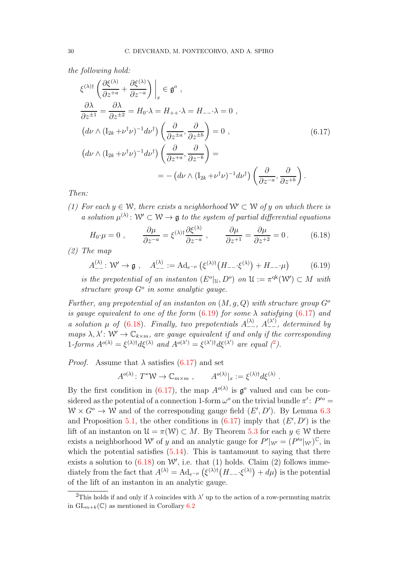the following hold:

<span id="page-29-1"></span>
$$
\xi^{(\lambda)\dagger} \left( \frac{\partial \xi^{(\lambda)}}{\partial z^{+a}} + \frac{\partial \xi^{(\lambda)}}{\partial z^{-a}} \right) \Big|_{x} \in \mathfrak{g}^{o} ,
$$
  
\n
$$
\frac{\partial \lambda}{\partial z^{\pm 1}} = \frac{\partial \lambda}{\partial z^{\pm 2}} = H_{0} \cdot \lambda = H_{++} \cdot \lambda = H_{--} \cdot \lambda = 0 ,
$$
  
\n
$$
\left( d\nu \wedge (I_{2k} + \nu^{\dagger} \nu)^{-1} d\nu^{\dagger} \right) \left( \frac{\partial}{\partial z^{\pm a}} , \frac{\partial}{\partial z^{\pm b}} \right) = 0 ,
$$
  
\n
$$
\left( d\nu \wedge (I_{2k} + \nu^{\dagger} \nu)^{-1} d\nu^{\dagger} \right) \left( \frac{\partial}{\partial z^{+a}} , \frac{\partial}{\partial z^{-b}} \right) =
$$
  
\n
$$
= - \left( d\nu \wedge (I_{2k} + \nu^{\dagger} \nu)^{-1} d\nu^{\dagger} \right) \left( \frac{\partial}{\partial z^{-a}} , \frac{\partial}{\partial z^{+b}} \right).
$$
  
\n(6.17)

Then:

(1) For each  $y \in W$ , there exists a neighborhood  $W' \subset W$  of y on which there is a solution  $\mu^{(\lambda)}: \mathcal{W}' \subset \mathcal{W} \to \mathfrak{g}$  to the system of partial differential equations

<span id="page-29-2"></span>
$$
H_0 \cdot \mu = 0 \;, \qquad \frac{\partial \mu}{\partial z^{-a}} = \xi^{(\lambda)\dagger} \frac{\partial \xi^{(\lambda)}}{\partial z^{-a}} \;, \qquad \frac{\partial \mu}{\partial z^{+1}} = \frac{\partial \mu}{\partial z^{+2}} = 0 \,. \tag{6.18}
$$

(2) The map

<span id="page-29-0"></span>
$$
A_{--}^{(\lambda)}: \mathcal{W}' \to \mathfrak{g} \ , \quad A_{--}^{(\lambda)} := \mathrm{Ad}_{e^{-\mu}}\left(\xi^{(\lambda)\dagger}\left(H_{--}\cdot\xi^{(\lambda)}\right) + H_{--}\cdot\mu\right) \tag{6.19}
$$

is the prepotential of an instanton  $(E^o|_U, D^o)$  on  $\mathcal{U} := \pi^{qk}(\mathcal{W}') \subset M$  with structure group  $G^o$  in some analytic gauge.

Further, any prepotential of an instanton on  $(M, q, Q)$  with structure group  $G^{\circ}$ is gauge equivalent to one of the form  $(6.19)$  for some  $\lambda$  satisfying  $(6.17)$  and a solution  $\mu$  of [\(6.18\)](#page-29-2). Finally, two prepotentials  $A_{--}^{(\lambda)}$ ,  $A_{--}^{(\lambda')}$ , determined by maps  $\lambda, \lambda' \colon W' \to \mathbb{C}_{k \times m}$ , are gauge equivalent if and only if the corresponding 1-forms  $A^{o(\lambda)} = \xi^{(\lambda)\dagger} d\xi^{(\lambda)}$  and  $A^{o(\lambda')} = \xi^{(\lambda')\dagger} d\xi^{(\lambda')}$  are equal (<sup>[2](#page-29-3)</sup>).

*Proof.* Assume that  $\lambda$  satisfies [\(6.17\)](#page-29-1) and set

$$
A^{o(\lambda)}\colon T^*\mathcal{W}\to \mathbb{C}_{m\times m} ,\qquad A^{o(\lambda)}|_{x}:=\xi^{(\lambda)\dagger}d\xi^{(\lambda)} .
$$

By the first condition in [\(6.17\)](#page-29-1), the map  $A^{o(\lambda)}$  is  $\mathfrak{g}^o$  valued and can be considered as the potential of a connection 1-form  $\omega^o$  on the trivial bundle  $\pi'$ :  $P^{\prime o}$  =  $W \times G^{\circ} \to W$  and of the corresponding gauge field  $(E', D')$ . By Lemma [6.3](#page-28-1) and Proposition [5.1,](#page-17-0) the other conditions in  $(6.17)$  imply that  $(E', D')$  is the lift of an instanton on  $\mathcal{U} = \pi(\mathcal{W}) \subset M$ . By Theorem [5.3](#page-21-1) for each  $y \in \mathcal{W}$  there exists a neighborhood W' of y and an analytic gauge for  $P'|_{W'} = (P'^o|_{W'})^{\mathbb{C}}$ , in which the potential satisfies  $(5.14)$ . This is tantamount to saying that there exists a solution to  $(6.18)$  on W', i.e. that  $(1)$  holds. Claim  $(2)$  follows immediately from the fact that  $A^{(\lambda)} = \text{Ad}_{e^{-\mu}} \left( \xi^{(\lambda)\dagger} (H_{--} \xi^{(\lambda)}) + d\mu \right)$  is the potential of the lift of an instanton in an analytic gauge.

<span id="page-29-3"></span><sup>&</sup>lt;sup>2</sup>This holds if and only if  $\lambda$  coincides with  $\lambda'$  up to the action of a row-permuting matrix in  $GL_{m+k}(\mathbb{C})$  as mentioned in Corollary [6.2](#page-27-2)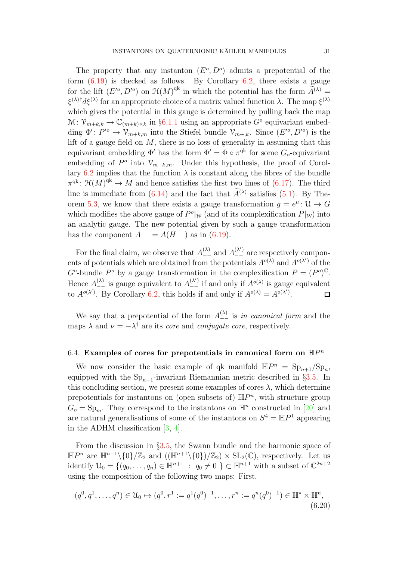The property that any instanton  $(E^o, D^o)$  admits a prepotential of the form  $(6.19)$  is checked as follows. By Corollary [6.2,](#page-27-2) there exists a gauge for the lift  $(E'^o, D'^o)$  on  $\mathfrak{H}(M)^{\text{qk}}$  in which the potential has the form  $\widetilde{A}^{(\lambda)} =$  $\xi^{(\lambda)}$ <sup>†</sup>d $\xi^{(\lambda)}$  for an appropriate choice of a matrix valued function  $\lambda$ . The map  $\xi^{(\lambda)}$ which gives the potential in this gauge is determined by pulling back the map  $\mathcal{M}: \mathcal{V}_{m+k,k} \to \mathbb{C}_{(m+k)\times k}$  in §[6.1.1](#page-25-2) using an appropriate  $G^o$  equivariant embedding  $\Phi' : P'^o \to \mathcal{V}_{m+k,m}$  into the Stiefel bundle  $\mathcal{V}_{m+k}$ . Since  $(E'^o, D'^o)$  is the lift of a gauge field on  $M$ , there is no loss of generality in assuming that this equivariant embedding  $\Phi'$  has the form  $\Phi' = \Phi \circ \pi^{qk}$  for some  $G_o$ -equivariant embedding of  $P^o$  into  $\mathcal{V}_{m+k,m}$ . Under this hypothesis, the proof of Corol-lary [6.2](#page-27-2) implies that the function  $\lambda$  is constant along the fibres of the bundle  $\pi^{\text{qk}}: \mathfrak{H}(M)^{\text{qk}} \to M$  and hence satisfies the first two lines of  $(6.17)$ . The third line is immediate from  $(6.14)$  and the fact that  $\hat{A}^{(\lambda)}$  satisfies  $(5.1)$ . By The-orem [5.3,](#page-21-1) we know that there exists a gauge transformation  $g = e^{\mu}$ :  $\mathcal{U} \to G$ which modifies the above gauge of  $P^o|_W$  (and of its complexification  $P|_W$ ) into an analytic gauge. The new potential given by such a gauge transformation has the component  $A_{--} = A(H_{--})$  as in [\(6.19\)](#page-29-0).

For the final claim, we observe that  $A_{--}^{(\lambda)}$  and  $A_{--}^{(\lambda')}$  are respectively components of potentials which are obtained from the potentials  $A^{o(\lambda)}$  and  $A^{o(\lambda')}$  of the  $G^o$ -bundle  $P^o$  by a gauge transformation in the complexification  $P = (P^o)^{\mathbb{C}}$ . Hence  $A_{-}^{(\lambda)}$  is gauge equivalent to  $A_{-}^{(\lambda')}$  if and only if  $A^{o(\lambda)}$  is gauge equivalent to  $A^{o(\lambda')}$ . By Corollary [6.2,](#page-27-2) this holds if and only if  $A^{o(\lambda)} = A^{o(\lambda')}$ .  $\Box$ 

We say that a prepotential of the form  $A_{-}^{(\lambda)}$  is in canonical form and the maps  $\lambda$  and  $\nu = -\lambda^{\dagger}$  are its *core* and *conjugate core*, respectively.

# 6.4. Examples of cores for prepotentials in canonical form on  $\mathbb{H}P^n$

We now consider the basic example of qk manifold  $\mathbb{H}P^n = \text{Sp}_{n+1}/\text{Sp}_n$ , equipped with the  $Sp_{n+1}$ -invariant Riemannian metric described in §[3.5.](#page-12-0) In this concluding section, we present some examples of cores  $\lambda$ , which determine prepotentials for instantons on (open subsets of)  $\mathbb{H}P^n$ , with structure group  $G_o = \text{Sp}_m$ . They correspond to the instantons on  $\mathbb{H}^n$  constructed in [\[20\]](#page-34-6) and are natural generalisations of some of the instantons on  $S^4 = \mathbb{H}P^1$  appearing in the ADHM classification [\[3,](#page-33-14) [4\]](#page-33-15).

From the discussion in  $\S 3.5$ , the Swann bundle and the harmonic space of  $\mathbb{H}P^n$  are  $\mathbb{H}^{n-1}\setminus{0}/\mathbb{Z}_2$  and  $((\mathbb{H}^{n+1}\setminus{0})/\mathbb{Z}_2)\times SL_2(\mathbb{C})$ , respectively. Let us identify  $\mathcal{U}_0 = \{(q_0, \ldots, q_n) \in \mathbb{H}^{n+1} : q_0 \neq 0 \} \subset \mathbb{H}^{n+1}$  with a subset of  $\mathbb{C}^{2n+2}$ using the composition of the following two maps: First,

$$
(q^0, q^1, \dots, q^n) \in \mathcal{U}_0 \mapsto (q^0, r^1 := q^1(q^0)^{-1}, \dots, r^n := q^n(q^0)^{-1}) \in \mathbb{H}^* \times \mathbb{H}^n,
$$
\n
$$
(6.20)
$$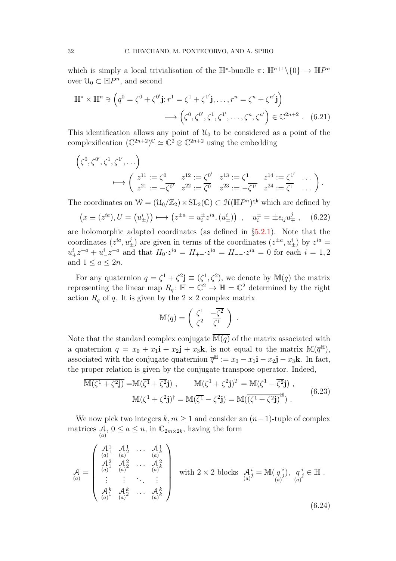which is simply a local trivialisation of the  $\mathbb{H}^*$ -bundle  $\pi$ :  $\mathbb{H}^{n+1}\setminus\{0\} \to \mathbb{H}P^n$ over  $\mathcal{U}_0 \subset \mathbb{H}P^n$ , and second

$$
\mathbb{H}^* \times \mathbb{H}^n \ni \left( q^0 = \zeta^0 + \zeta^{0'} \mathbf{j}; r^1 = \zeta^1 + \zeta^{1'} \mathbf{j}, \dots, r^n = \zeta^n + \zeta^{n'} \mathbf{j} \right) \longrightarrow \left( \zeta^0, \zeta^{0'}, \zeta^1, \zeta^{1'}, \dots, \zeta^n, \zeta^{n'} \right) \in \mathbb{C}^{2n+2} . \tag{6.21}
$$

This identification allows any point of  $\mathcal{U}_0$  to be considered as a point of the complexification  $(\mathbb{C}^{2n+2})^{\mathbb{C}} \simeq \mathbb{C}^2 \otimes \mathbb{C}^{2n+2}$  using the embedding

$$
\left(\zeta^{0}, \zeta^{0'}, \zeta^{1}, \zeta^{1'}, \dots\right)
$$
  
\n
$$
\longmapsto \left(\begin{array}{ccc} z^{11} := \zeta^{0} & z^{12} := \zeta^{0'} & z^{13} := \zeta^{1} & z^{14} := \zeta^{1'} & \dots \\ z^{21} := -\overline{\zeta^{0'}} & z^{22} := \overline{\zeta^{0}} & z^{23} := -\overline{\zeta^{1'}} & z^{24} := \overline{\zeta^{1}} & \dots \end{array}\right).
$$

The coordinates on  $W = (\mathcal{U}_0/\mathbb{Z}_2) \times SL_2(\mathbb{C}) \subset \mathcal{H}(\mathbb{H}P^n)^{qk}$  which are defined by

$$
(x \equiv (z^{ia}), U = (u^i_{\pm})) \longmapsto (z^{\pm a} = u^{\pm}_i z^{ia}, (u^i_{\pm})) , \quad u^{\pm}_i = \pm \epsilon_{ij} u^j_{\mp} , \quad (6.22)
$$

are holomorphic adapted coordinates (as defined in  $\S5.2.1$ ). Note that the coordinates  $(z^{ia}, u^j_{\pm})$  are given in terms of the coordinates  $(z^{\pm a}, u^i_{\pm})$  by  $z^{ia} =$  $u_+^i z^{+a} + u_-^i z^{-a}$  and that  $H_0 \cdot z^{ia} = H_{++} \cdot z^{ia} = H_{--} \cdot z^{ia} = 0$  for each  $i = 1, 2$ and  $1 \leq a \leq 2n$ .

For any quaternion  $q = \zeta^1 + \zeta^2 \mathbf{j} \equiv (\zeta^1, \zeta^2)$ , we denote by  $\mathbb{M}(q)$  the matrix representing the linear map  $R_q$ :  $\mathbb{H} = \mathbb{C}^2 \to \mathbb{H} = \mathbb{C}^2$  determined by the right action  $R_q$  of q. It is given by the  $2 \times 2$  complex matrix

$$
\mathbb{M}(q) = \begin{pmatrix} \zeta^1 & -\overline{\zeta^2} \\ \zeta^2 & \overline{\zeta^1} \end{pmatrix}
$$

.

Note that the standard complex conjugate  $\overline{\mathbb{M}(q)}$  of the matrix associated with a quaternion  $q = x_0 + x_1 \mathbf{i} + x_2 \mathbf{j} + x_3 \mathbf{k}$ , is not equal to the matrix  $\mathbb{M}(\overline{q}^{\mathbb{H}})$ , associated with the conjugate quaternion  $\overline{q}^{\mathbb{H}} := x_0 - x_1 \mathbf{i} - x_2 \mathbf{j} - x_3 \mathbf{k}$ . In fact, the proper relation is given by the conjugate transpose operator. Indeed,

$$
\overline{\mathbb{M}(\zeta^1 + \zeta^2 \mathbf{j})} = \mathbb{M}(\overline{\zeta^1} + \overline{\zeta^2} \mathbf{j}), \qquad \mathbb{M}(\zeta^1 + \zeta^2 \mathbf{j})^T = \mathbb{M}(\zeta^1 - \overline{\zeta^2} \mathbf{j}),
$$
  
\n
$$
\mathbb{M}(\zeta^1 + \zeta^2 \mathbf{j})^{\dagger} = \mathbb{M}(\overline{\zeta^1} - \zeta^2 \mathbf{j}) = \mathbb{M}(\overline{(\zeta^1 + \zeta^2 \mathbf{j})}^{\mathbb{H}}).
$$
\n(6.23)

We now pick two integers  $k, m \ge 1$  and consider an  $(n+1)$ -tuple of complex matrices  $A, 0 \le a \le n$ , in  $\mathbb{C}_{2m \times 2k}$ , having the form

<span id="page-31-0"></span>
$$
\mathcal{A} = \begin{pmatrix}\n\mathcal{A}_1^1 & \mathcal{A}_2^1 & \cdots & \mathcal{A}_k^1 \\
\mathcal{A}_1^2 & \mathcal{A}_2^2 & \cdots & \mathcal{A}_k^2 \\
\vdots & \vdots & \ddots & \vdots \\
\mathcal{A}_1^k & \mathcal{A}_2^k & \cdots & \mathcal{A}_k^k \\
\vdots & \vdots & \ddots & \vdots \\
\mathcal{A}_1^k & \mathcal{A}_2^k & \cdots & \mathcal{A}_k^k\n\end{pmatrix} \text{ with } 2 \times 2 \text{ blocks } \mathcal{A}_j^i = \mathbb{M}(q_j^i), q_j^i \in \mathbb{H}.
$$
\n(6.24)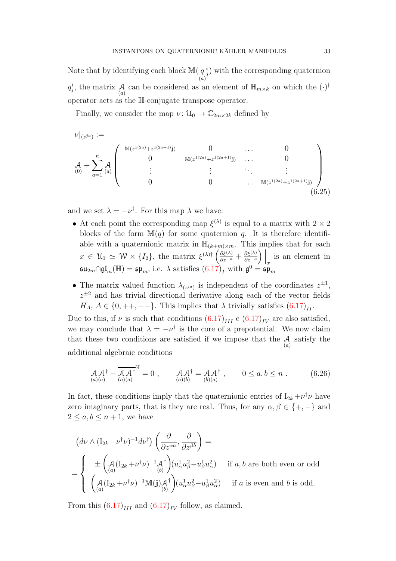Note that by identifying each block  $M(q)$ (a)  $i_j$ ) with the corresponding quaternion  $q_j^i$ , the matrix A can be considered as an element of  $\mathbb{H}_{m \times k}$  on which the  $(\cdot)^{\dagger}$ operator acts as the H-conjugate transpose operator.

Finally, we consider the map  $\nu: \mathcal{U}_0 \to \mathbb{C}_{2m \times 2k}$  defined by

$$
\nu|_{(z^{ja})} := \n\begin{pmatrix}\n\mathbb{M}(z^{1(2a)} + z^{1(2a+1)}\mathbf{j}) & 0 & \dots & 0 \\
0 & \mathbb{M}(z^{1(2a)} + z^{1(2a+1)}\mathbf{j}) & \dots & 0 \\
0 & \vdots & \vdots & \ddots & \vdots \\
0 & 0 & \dots & \mathbb{M}(z^{1(2a)} + z^{1(2a+1)}\mathbf{j})\n\end{pmatrix}
$$
\n
$$
(6.25)
$$

and we set  $\lambda = -\nu^{\dagger}$ . For this map  $\lambda$  we have:

- <span id="page-32-0"></span>• At each point the corresponding map  $\xi^{(\lambda)}$  is equal to a matrix with  $2 \times 2$ blocks of the form  $\mathbb{M}(q)$  for some quaternion q. It is therefore identifiable with a quaternionic matrix in  $\mathbb{H}_{(k+m)\times m}$ . This implies that for each  $x \in \mathcal{U}_0 \simeq \mathcal{W} \times \{I_2\},\$  the matrix  $\xi^{(\lambda)\dagger} \left( \frac{\partial \xi^{(\lambda)}}{\partial z^{+a}} + \frac{\partial \xi^{(\lambda)}}{\partial z^{-a}} \right)$ ∂z−<sup>a</sup>  $\Big) \Big|_x^2$  is an element in  $\mathfrak{su}_{2m}\cap\mathfrak{gl}_m(\mathbb{H})=\mathfrak{sp}_m,$  i.e.  $\lambda$  satisfies  $(6.17)_I$  with  $\mathfrak{g}^0=\widetilde{\mathfrak{sp}}_m$
- The matrix valued function  $\lambda_{(z^{ia})}$  is independent of the coordinates  $z^{\pm 1}$ ,  $z^{\pm 2}$  and has trivial directional derivative along each of the vector fields  $H_A$ ,  $A \in \{0, ++,--\}$ . This implies that  $\lambda$  trivially satisfies  $(6.17)_{II}$ .

Due to this, if  $\nu$  is such that conditions  $(6.17)_{III}$  e  $(6.17)_{IV}$  are also satisfied, we may conclude that  $\lambda = -\nu^{\dagger}$  is the core of a prepotential. We now claim that these two conditions are satisfied if we impose that the  $\mathcal{A}_{(a)}$  satisfy the additional algebraic conditions

<span id="page-32-1"></span>
$$
\mathcal{A}\mathcal{A}^{\dagger} - \overline{\mathcal{A}\mathcal{A}^{\dagger}}^{\mathbb{H}} = 0 , \qquad \mathcal{A}\mathcal{A}^{\dagger} = \mathcal{A}\mathcal{A}^{\dagger} , \qquad 0 \le a, b \le n . \qquad (6.26)
$$

In fact, these conditions imply that the quaternionic entries of  $I_{2k} + \nu^{\dagger} \nu$  have zero imaginary parts, that is they are real. Thus, for any  $\alpha, \beta \in \{+, -\}$  and  $2 \leq a, b \leq n+1$ , we have

$$
\begin{aligned}\n(d\nu \wedge (\mathbf{I}_{2k} + \nu^{\dagger} \nu)^{-1} d\nu^{\dagger}) \left( \frac{\partial}{\partial z^{\alpha a}}, \frac{\partial}{\partial z^{\beta b}} \right) &= \\
&= \begin{cases}\n\pm \left( \mathcal{A} (\mathbf{I}_{2k} + \nu^{\dagger} \nu)^{-1} \mathcal{A}^{\dagger} \right) (u_{\alpha}^{1} u_{\beta}^{2} - u_{\beta}^{1} u_{\alpha}^{2}) & \text{if } a, b \text{ are both even or odd} \\
\left( \mathcal{A} (\mathbf{I}_{2k} + \nu^{\dagger} \nu)^{-1} \mathbb{M}(\mathbf{j}) \mathcal{A}^{\dagger} \right) (u_{\alpha}^{1} u_{\beta}^{2} - u_{\beta}^{1} u_{\alpha}^{2}) & \text{if } a \text{ is even and } b \text{ is odd.} \\
\end{cases}\n\end{aligned}
$$

From this  $(6.17)_{III}$  and  $(6.17)_{IV}$  follow, as claimed.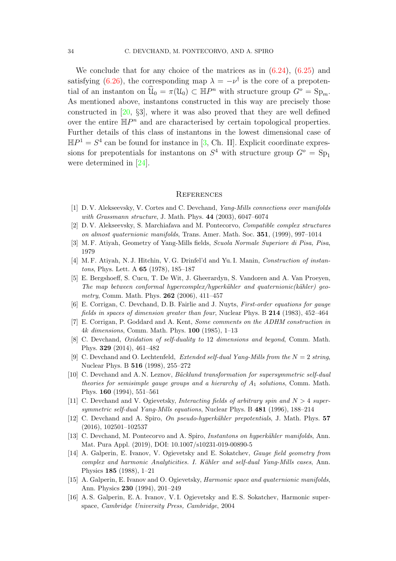We conclude that for any choice of the matrices as in  $(6.24)$ ,  $(6.25)$  and satisfying [\(6.26\)](#page-32-1), the corresponding map  $\lambda = -\nu^{\dagger}$  is the core of a prepotential of an instanton on  $\widehat{\mathcal{U}}_0 = \pi(\mathcal{U}_0) \subset \mathbb{H}P^n$  with structure group  $G^o = \text{Sp}_m$ . As mentioned above, instantons constructed in this way are precisely those constructed in [\[20,](#page-34-6) §3], where it was also proved that they are well defined over the entire  $\mathbb{H}P^n$  and are characterised by certain topological properties. Further details of this class of instantons in the lowest dimensional case of  $\mathbb{H}P^1 = S^4$  can be found for instance in [\[3,](#page-33-14) Ch. II]. Explicit coordinate expressions for prepotentials for instantons on  $S^4$  with structure group  $G^o = Sp_1$ were determined in [\[24\]](#page-34-14).

#### **REFERENCES**

- <span id="page-33-8"></span><span id="page-33-6"></span>[1] D. V. Alekseevsky, V. Cortes and C. Devchand, Yang-Mills connections over manifolds with Grassmann structure, J. Math. Phys.  $44$  (2003), 6047–6074
- <span id="page-33-14"></span>[2] D. V. Alekseevsky, S. Marchiafava and M. Pontecorvo, Compatible complex structures on almost quaternionic manifolds, Trans. Amer. Math. Soc. 351, (1999), 997–1014
- <span id="page-33-15"></span>[3] M. F. Atiyah, Geometry of Yang-Mills fields, Scuola Normale Superiore di Pisa, Pisa, 1979
- <span id="page-33-3"></span>[4] M. F. Atiyah, N. J. Hitchin, V. G. Drinfel'd and Yu. I. Manin, Construction of instantons, Phys. Lett. A 65 (1978), 185–187
- [5] E. Bergshoeff, S. Cucu, T. De Wit, J. Gheerardyn, S. Vandoren and A. Van Proeyen, The map between conformal hypercomplex/hyperkähler and quaternionic(kähler) geometry, Comm. Math. Phys. **262** (2006), 411-457
- <span id="page-33-5"></span><span id="page-33-4"></span>[6] E. Corrigan, C. Devchand, D. B. Fairlie and J. Nuyts, First-order equations for gauge fields in spaces of dimension greater than four, Nuclear Phys. B 214 (1983), 452–464
- <span id="page-33-7"></span>[7] E. Corrigan, P. Goddard and A. Kent, Some comments on the ADHM construction in 4k dimensions, Comm. Math. Phys. 100 (1985), 1–13
- [8] C. Devchand, Oxidation of self-duality to 12 dimensions and beyond, Comm. Math. Phys. 329 (2014), 461–482
- <span id="page-33-12"></span>[9] C. Devchand and O. Lechtenfeld, *Extended self-dual Yang-Mills from the*  $N = 2$  string, Nuclear Phys. B 516 (1998), 255–272
- <span id="page-33-11"></span>[10] C. Devchand and A.N. Leznov, Bäcklund transformation for supersymmetric self-dual theories for semisimple gauge groups and a hierarchy of  $A_1$  solutions, Comm. Math. Phys. 160 (1994), 551–561
- <span id="page-33-13"></span>[11] C. Devchand and V. Ogievetsky, Interacting fields of arbitrary spin and  $N > 4$  supersymmetric self-dual Yang-Mills equations, Nuclear Phys. B 481 (1996), 188–214
- <span id="page-33-10"></span>[12] C. Devchand and A. Spiro, On pseudo-hyperkähler prepotentials, J. Math. Phys. 57 (2016), 102501–102537
- <span id="page-33-0"></span>[13] C. Devchand, M. Pontecorvo and A. Spiro, *Instantons on hyperkähler manifolds*, Ann. Mat. Pura Appl. (2019), DOI: 10.1007/s10231-019-00890-5
- <span id="page-33-1"></span>[14] A. Galperin, E. Ivanov, V. Ogievetsky and E. Sokatchev, Gauge field geometry from complex and harmonic Analyticities. I. Kähler and self-dual Yang-Mills cases, Ann. Physics 185 (1988), 1–21
- <span id="page-33-9"></span>[15] A. Galperin, E. Ivanov and O. Ogievetsky, Harmonic space and quaternionic manifolds, Ann. Physics 230 (1994), 201–249
- <span id="page-33-2"></span>[16] A. S. Galperin, E. A. Ivanov, V. I. Ogievetsky and E. S. Sokatchev, Harmonic superspace, Cambridge University Press, Cambridge, 2004